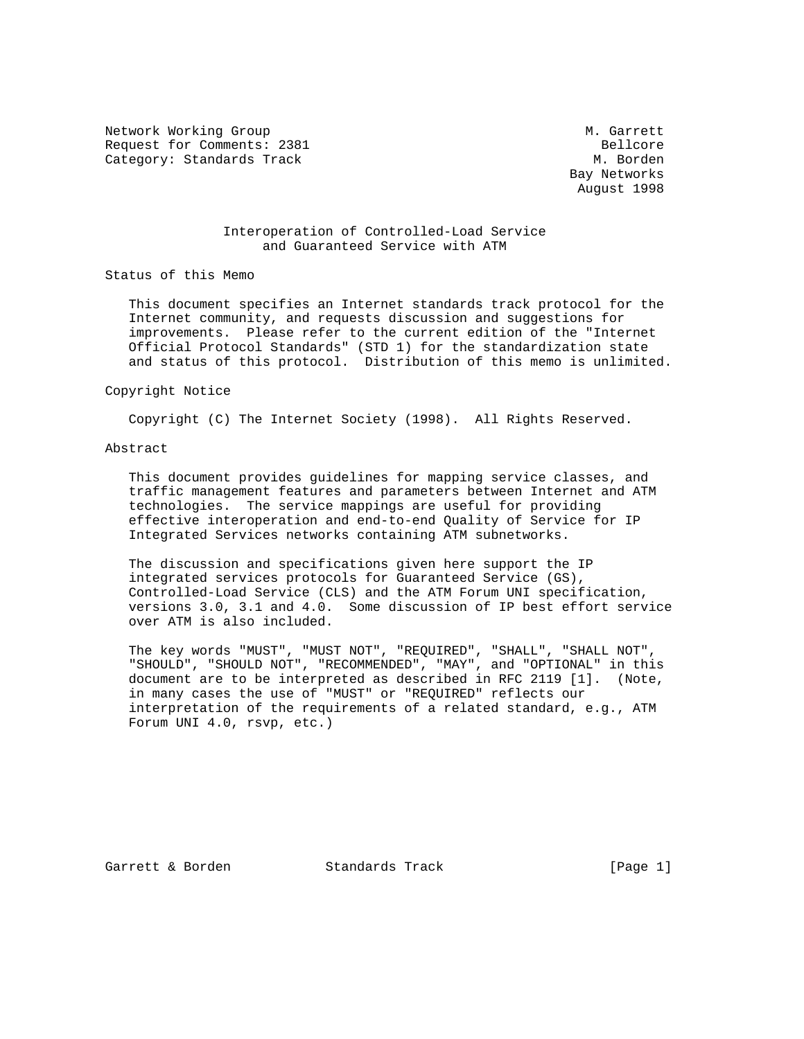Network Working Group Methods and Methods Methods Methods Methods Methods Methods Methods Methods Methods Methods Methods Methods Methods Methods Methods Methods Methods Methods Methods Methods Methods Methods Methods Meth Request for Comments: 2381<br>Category: Standards Track entries and the category: Standards Track Category: Standards Track

 Bay Networks August 1998

## Interoperation of Controlled-Load Service and Guaranteed Service with ATM

Status of this Memo

 This document specifies an Internet standards track protocol for the Internet community, and requests discussion and suggestions for improvements. Please refer to the current edition of the "Internet Official Protocol Standards" (STD 1) for the standardization state and status of this protocol. Distribution of this memo is unlimited.

#### Copyright Notice

Copyright (C) The Internet Society (1998). All Rights Reserved.

## Abstract

 This document provides guidelines for mapping service classes, and traffic management features and parameters between Internet and ATM technologies. The service mappings are useful for providing effective interoperation and end-to-end Quality of Service for IP Integrated Services networks containing ATM subnetworks.

 The discussion and specifications given here support the IP integrated services protocols for Guaranteed Service (GS), Controlled-Load Service (CLS) and the ATM Forum UNI specification, versions 3.0, 3.1 and 4.0. Some discussion of IP best effort service over ATM is also included.

 The key words "MUST", "MUST NOT", "REQUIRED", "SHALL", "SHALL NOT", "SHOULD", "SHOULD NOT", "RECOMMENDED", "MAY", and "OPTIONAL" in this document are to be interpreted as described in RFC 2119 [1]. (Note, in many cases the use of "MUST" or "REQUIRED" reflects our interpretation of the requirements of a related standard, e.g., ATM Forum UNI 4.0, rsvp, etc.)

Garrett & Borden Standards Track [Page 1]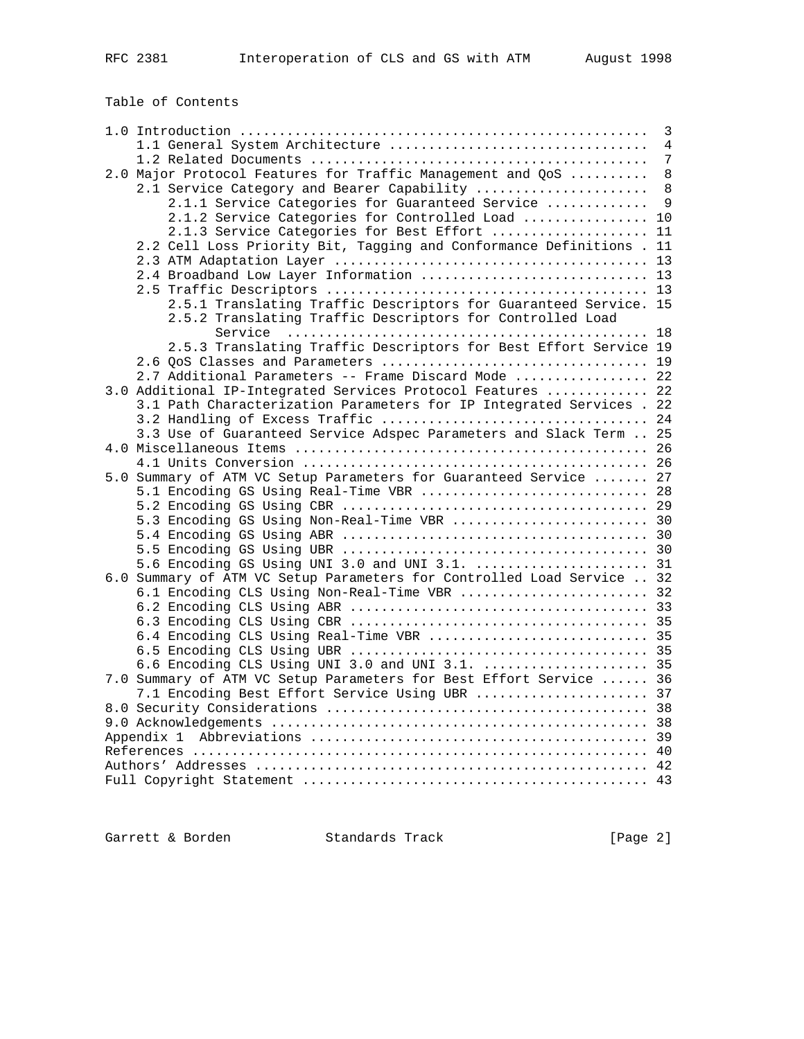|                                                                        | 3  |
|------------------------------------------------------------------------|----|
| 1.1 General System Architecture                                        | 4  |
|                                                                        | 7  |
| 2.0 Major Protocol Features for Traffic Management and QoS             | 8  |
| 2.1 Service Category and Bearer Capability                             | 8  |
| 2.1.1 Service Categories for Guaranteed Service                        | 9  |
| 2.1.2 Service Categories for Controlled Load  10                       |    |
| 2.1.3 Service Categories for Best Effort                               | 11 |
| 2.2 Cell Loss Priority Bit, Tagging and Conformance Definitions.       | 11 |
|                                                                        | 13 |
| 2.4 Broadband Low Layer Information  13                                |    |
|                                                                        |    |
| 2.5.1 Translating Traffic Descriptors for Guaranteed Service. 15       |    |
| 2.5.2 Translating Traffic Descriptors for Controlled Load              |    |
|                                                                        |    |
| 2.5.3 Translating Traffic Descriptors for Best Effort Service 19       |    |
|                                                                        |    |
| 2.7 Additional Parameters -- Frame Discard Mode  22                    |    |
| 3.0 Additional IP-Integrated Services Protocol Features  22            |    |
| 3.1 Path Characterization Parameters for IP Integrated Services . 22   |    |
|                                                                        |    |
| 3.3 Use of Guaranteed Service Adspec Parameters and Slack Term  25     |    |
|                                                                        |    |
|                                                                        |    |
| 5.0 Summary of ATM VC Setup Parameters for Guaranteed Service  27      |    |
| 5.1 Encoding GS Using Real-Time VBR  28                                |    |
|                                                                        |    |
| 5.3 Encoding GS Using Non-Real-Time VBR  30                            |    |
|                                                                        |    |
|                                                                        |    |
| 5.6 Encoding GS Using UNI 3.0 and UNI 3.1.  31                         |    |
| 6.0 Summary of ATM VC Setup Parameters for Controlled Load Service  32 |    |
| 6.1 Encoding CLS Using Non-Real-Time VBR  32                           |    |
|                                                                        |    |
|                                                                        |    |
| 6.4 Encoding CLS Using Real-Time VBR  35                               |    |
|                                                                        |    |
| 6.6 Encoding CLS Using UNI 3.0 and UNI 3.1.  35                        |    |
| 7.0 Summary of ATM VC Setup Parameters for Best Effort Service  36     |    |
| 7.1 Encoding Best Effort Service Using UBR  37                         |    |
|                                                                        |    |
|                                                                        |    |
| Appendix 1                                                             |    |
|                                                                        |    |
|                                                                        |    |
|                                                                        |    |

Garrett & Borden Standards Track [Page 2]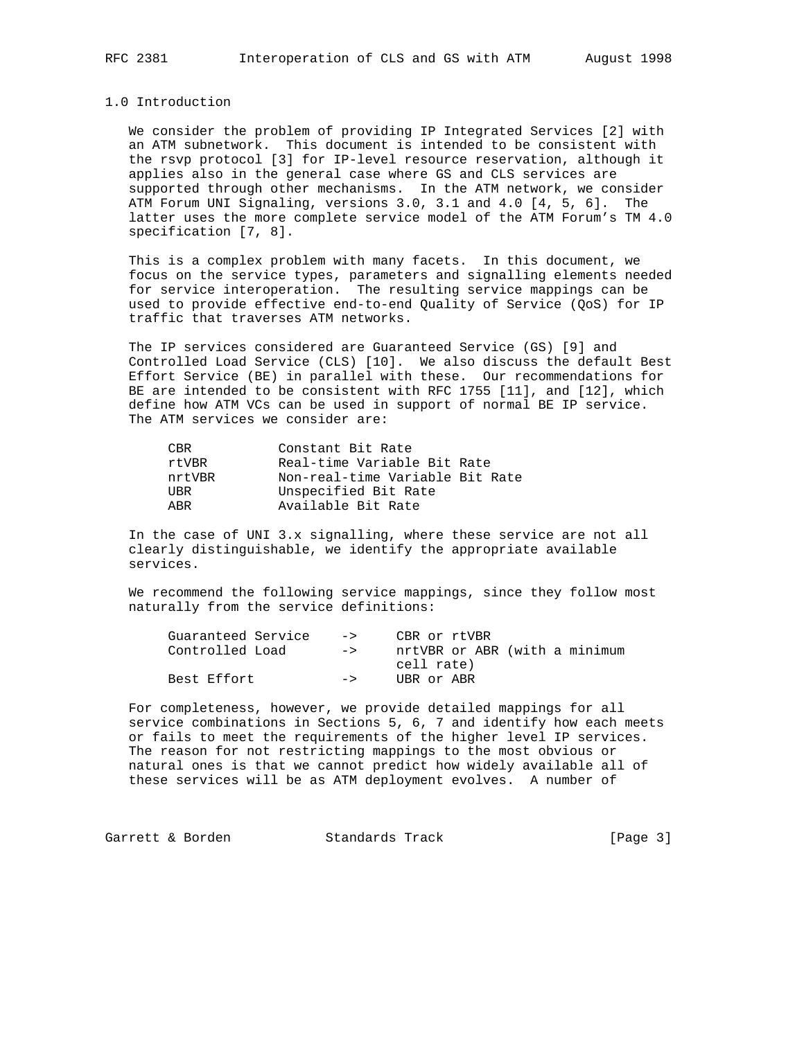## 1.0 Introduction

 We consider the problem of providing IP Integrated Services [2] with an ATM subnetwork. This document is intended to be consistent with the rsvp protocol [3] for IP-level resource reservation, although it applies also in the general case where GS and CLS services are supported through other mechanisms. In the ATM network, we consider ATM Forum UNI Signaling, versions 3.0, 3.1 and 4.0 [4, 5, 6]. The latter uses the more complete service model of the ATM Forum's TM 4.0 specification [7, 8].

 This is a complex problem with many facets. In this document, we focus on the service types, parameters and signalling elements needed for service interoperation. The resulting service mappings can be used to provide effective end-to-end Quality of Service (QoS) for IP traffic that traverses ATM networks.

 The IP services considered are Guaranteed Service (GS) [9] and Controlled Load Service (CLS) [10]. We also discuss the default Best Effort Service (BE) in parallel with these. Our recommendations for BE are intended to be consistent with RFC 1755 [11], and [12], which define how ATM VCs can be used in support of normal BE IP service. The ATM services we consider are:

| CBR    | Constant Bit Rate               |
|--------|---------------------------------|
| rtVBR  | Real-time Variable Bit Rate     |
| nrtVBR | Non-real-time Variable Bit Rate |
| UBR    | Unspecified Bit Rate            |
| ARR    | Available Bit Rate              |

 In the case of UNI 3.x signalling, where these service are not all clearly distinguishable, we identify the appropriate available services.

 We recommend the following service mappings, since they follow most naturally from the service definitions:

| $\rightarrow$ | CBR or rtVBR                  |
|---------------|-------------------------------|
| $\rightarrow$ | nrtVBR or ABR (with a minimum |
|               | cell rate)                    |
| $\rightarrow$ | UBR or ABR                    |
|               |                               |

 For completeness, however, we provide detailed mappings for all service combinations in Sections 5, 6, 7 and identify how each meets or fails to meet the requirements of the higher level IP services. The reason for not restricting mappings to the most obvious or natural ones is that we cannot predict how widely available all of these services will be as ATM deployment evolves. A number of

Garrett & Borden Standards Track [Page 3]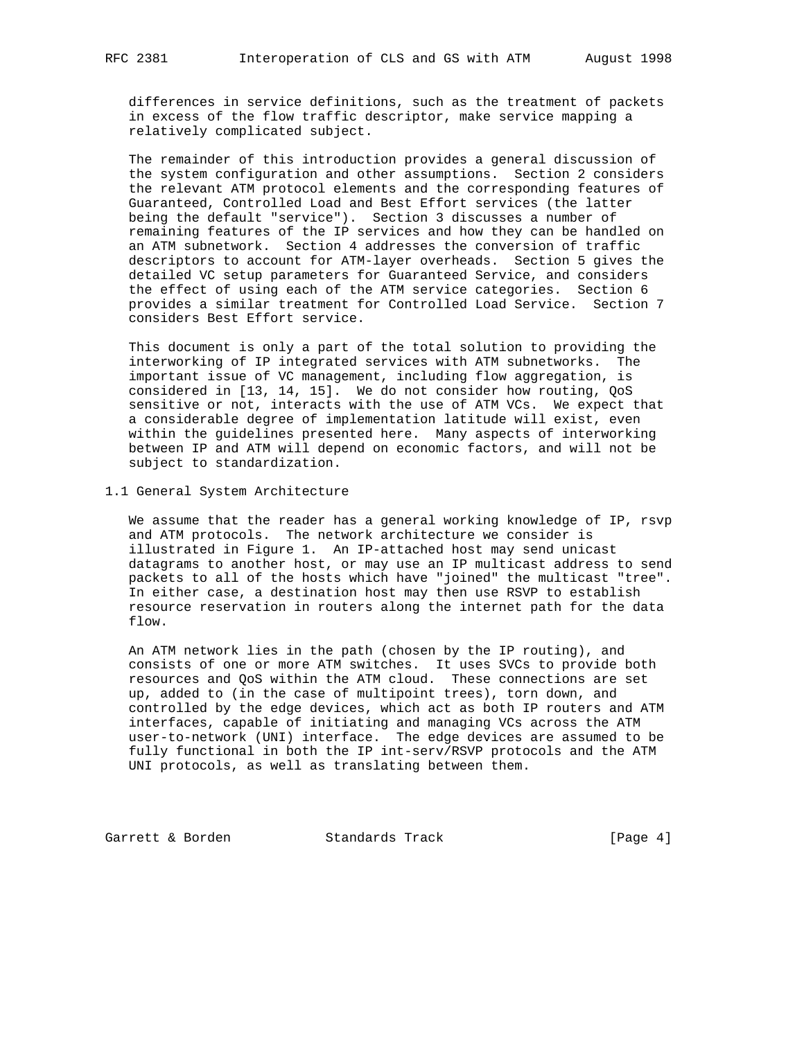differences in service definitions, such as the treatment of packets in excess of the flow traffic descriptor, make service mapping a relatively complicated subject.

 The remainder of this introduction provides a general discussion of the system configuration and other assumptions. Section 2 considers the relevant ATM protocol elements and the corresponding features of Guaranteed, Controlled Load and Best Effort services (the latter being the default "service"). Section 3 discusses a number of remaining features of the IP services and how they can be handled on an ATM subnetwork. Section 4 addresses the conversion of traffic descriptors to account for ATM-layer overheads. Section 5 gives the detailed VC setup parameters for Guaranteed Service, and considers the effect of using each of the ATM service categories. Section 6 provides a similar treatment for Controlled Load Service. Section 7 considers Best Effort service.

 This document is only a part of the total solution to providing the interworking of IP integrated services with ATM subnetworks. The important issue of VC management, including flow aggregation, is considered in [13, 14, 15]. We do not consider how routing, QoS sensitive or not, interacts with the use of ATM VCs. We expect that a considerable degree of implementation latitude will exist, even within the guidelines presented here. Many aspects of interworking between IP and ATM will depend on economic factors, and will not be subject to standardization.

1.1 General System Architecture

 We assume that the reader has a general working knowledge of IP, rsvp and ATM protocols. The network architecture we consider is illustrated in Figure 1. An IP-attached host may send unicast datagrams to another host, or may use an IP multicast address to send packets to all of the hosts which have "joined" the multicast "tree". In either case, a destination host may then use RSVP to establish resource reservation in routers along the internet path for the data flow.

 An ATM network lies in the path (chosen by the IP routing), and consists of one or more ATM switches. It uses SVCs to provide both resources and QoS within the ATM cloud. These connections are set up, added to (in the case of multipoint trees), torn down, and controlled by the edge devices, which act as both IP routers and ATM interfaces, capable of initiating and managing VCs across the ATM user-to-network (UNI) interface. The edge devices are assumed to be fully functional in both the IP int-serv/RSVP protocols and the ATM UNI protocols, as well as translating between them.

Garrett & Borden Standards Track [Page 4]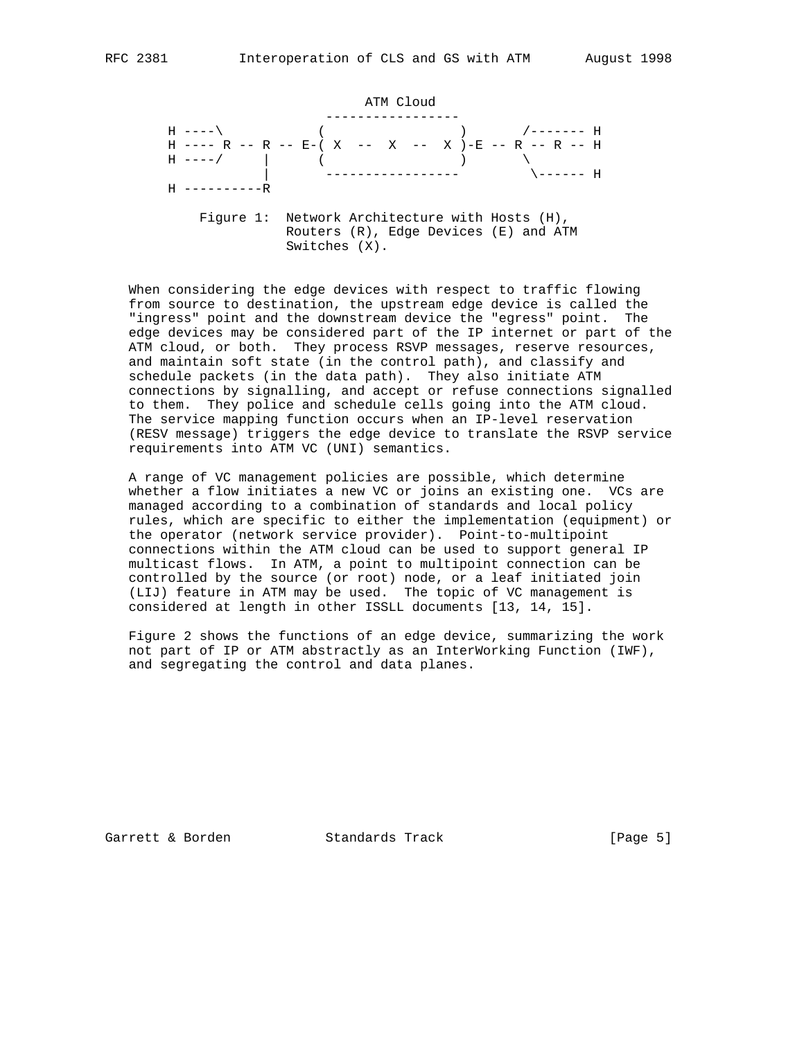ATM Cloud ----------------- H ----\ ( ) /------- H H ---- R -- R -- E-( X -- X -- X )-E -- R -- R -- H  $H$  ----/  $\qquad \qquad$  ( )  $\qquad \qquad$  | ----------------- \------ H  $H$  ------------ Figure 1: Network Architecture with Hosts (H), Routers (R), Edge Devices (E) and ATM Switches (X).

 When considering the edge devices with respect to traffic flowing from source to destination, the upstream edge device is called the "ingress" point and the downstream device the "egress" point. The edge devices may be considered part of the IP internet or part of the ATM cloud, or both. They process RSVP messages, reserve resources, and maintain soft state (in the control path), and classify and schedule packets (in the data path). They also initiate ATM connections by signalling, and accept or refuse connections signalled to them. They police and schedule cells going into the ATM cloud. The service mapping function occurs when an IP-level reservation (RESV message) triggers the edge device to translate the RSVP service requirements into ATM VC (UNI) semantics.

 A range of VC management policies are possible, which determine whether a flow initiates a new VC or joins an existing one. VCs are managed according to a combination of standards and local policy rules, which are specific to either the implementation (equipment) or the operator (network service provider). Point-to-multipoint connections within the ATM cloud can be used to support general IP multicast flows. In ATM, a point to multipoint connection can be controlled by the source (or root) node, or a leaf initiated join (LIJ) feature in ATM may be used. The topic of VC management is considered at length in other ISSLL documents [13, 14, 15].

 Figure 2 shows the functions of an edge device, summarizing the work not part of IP or ATM abstractly as an InterWorking Function (IWF), and segregating the control and data planes.

Garrett & Borden Standards Track [Page 5]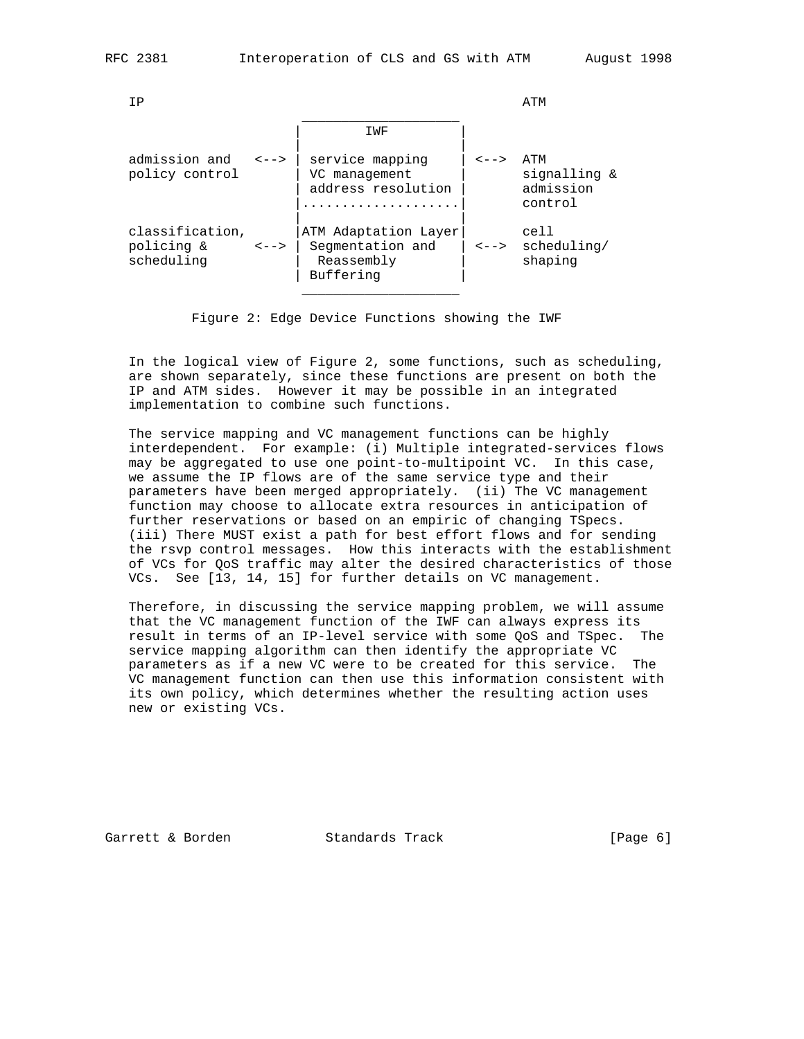| ΙP                                          |                                  |                                                                     |                                  | ATM                                         |
|---------------------------------------------|----------------------------------|---------------------------------------------------------------------|----------------------------------|---------------------------------------------|
|                                             |                                  | IWF                                                                 |                                  |                                             |
| admission and<br>policy control             | $\lt$ - - >                      | service mapping<br>VC management<br>address resolution              | <-->                             | ATM<br>signalling &<br>admission<br>control |
| classification,<br>policing &<br>scheduling | $\left\langle - - \right\rangle$ | ATM Adaptation Layer<br>Segmentation and<br>Reassembly<br>Buffering | $\left\langle - - \right\rangle$ | cell<br>scheduling/<br>shaping              |
|                                             |                                  |                                                                     |                                  |                                             |

Figure 2: Edge Device Functions showing the IWF

 In the logical view of Figure 2, some functions, such as scheduling, are shown separately, since these functions are present on both the IP and ATM sides. However it may be possible in an integrated implementation to combine such functions.

 The service mapping and VC management functions can be highly interdependent. For example: (i) Multiple integrated-services flows may be aggregated to use one point-to-multipoint VC. In this case, we assume the IP flows are of the same service type and their parameters have been merged appropriately. (ii) The VC management function may choose to allocate extra resources in anticipation of further reservations or based on an empiric of changing TSpecs. (iii) There MUST exist a path for best effort flows and for sending the rsvp control messages. How this interacts with the establishment of VCs for QoS traffic may alter the desired characteristics of those VCs. See [13, 14, 15] for further details on VC management.

 Therefore, in discussing the service mapping problem, we will assume that the VC management function of the IWF can always express its result in terms of an IP-level service with some QoS and TSpec. The service mapping algorithm can then identify the appropriate VC parameters as if a new VC were to be created for this service. The VC management function can then use this information consistent with its own policy, which determines whether the resulting action uses new or existing VCs.

Garrett & Borden Standards Track [Page 6]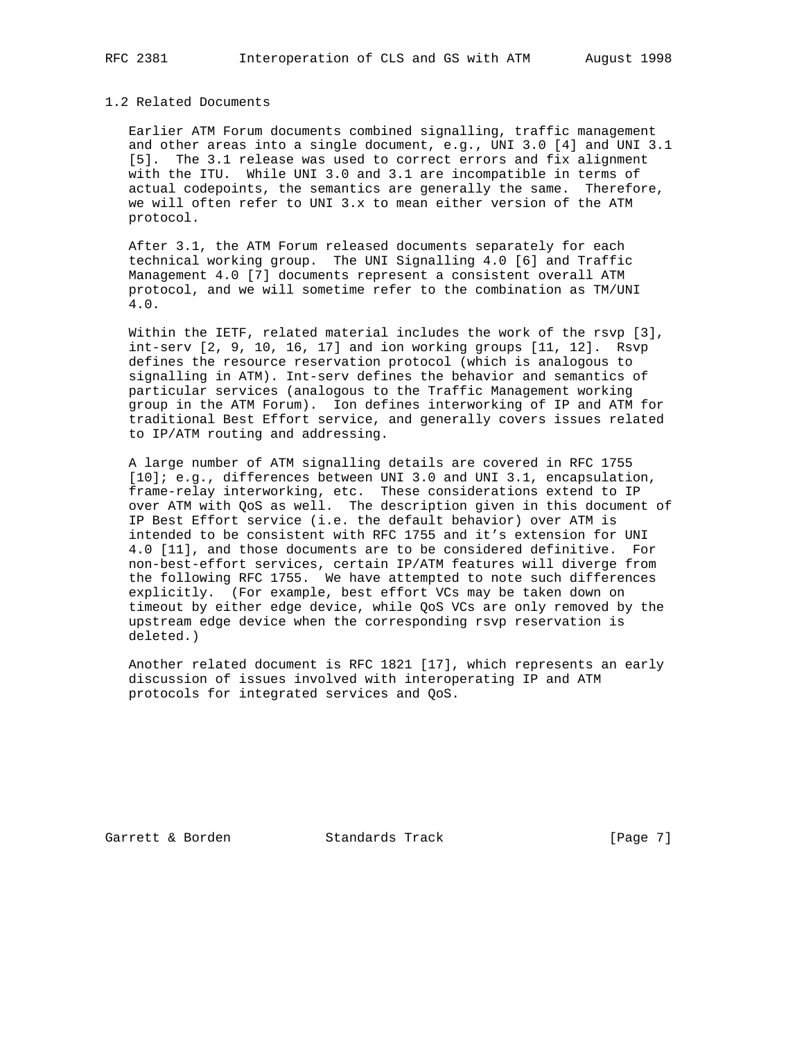#### 1.2 Related Documents

 Earlier ATM Forum documents combined signalling, traffic management and other areas into a single document, e.g., UNI 3.0 [4] and UNI 3.1 [5]. The 3.1 release was used to correct errors and fix alignment with the ITU. While UNI 3.0 and 3.1 are incompatible in terms of actual codepoints, the semantics are generally the same. Therefore, we will often refer to UNI 3.x to mean either version of the ATM protocol.

 After 3.1, the ATM Forum released documents separately for each technical working group. The UNI Signalling 4.0 [6] and Traffic Management 4.0 [7] documents represent a consistent overall ATM protocol, and we will sometime refer to the combination as TM/UNI 4.0.

 Within the IETF, related material includes the work of the rsvp [3],  $int-serv$   $[2, 9, 10, 16, 17]$  and ion working groups  $[11, 12]$ . Rsvp defines the resource reservation protocol (which is analogous to signalling in ATM). Int-serv defines the behavior and semantics of particular services (analogous to the Traffic Management working group in the ATM Forum). Ion defines interworking of IP and ATM for traditional Best Effort service, and generally covers issues related to IP/ATM routing and addressing.

 A large number of ATM signalling details are covered in RFC 1755 [10]; e.g., differences between UNI 3.0 and UNI 3.1, encapsulation, frame-relay interworking, etc. These considerations extend to IP over ATM with QoS as well. The description given in this document of IP Best Effort service (i.e. the default behavior) over ATM is intended to be consistent with RFC 1755 and it's extension for UNI 4.0 [11], and those documents are to be considered definitive. For non-best-effort services, certain IP/ATM features will diverge from the following RFC 1755. We have attempted to note such differences explicitly. (For example, best effort VCs may be taken down on timeout by either edge device, while QoS VCs are only removed by the upstream edge device when the corresponding rsvp reservation is deleted.)

 Another related document is RFC 1821 [17], which represents an early discussion of issues involved with interoperating IP and ATM protocols for integrated services and QoS.

Garrett & Borden Standards Track [Page 7]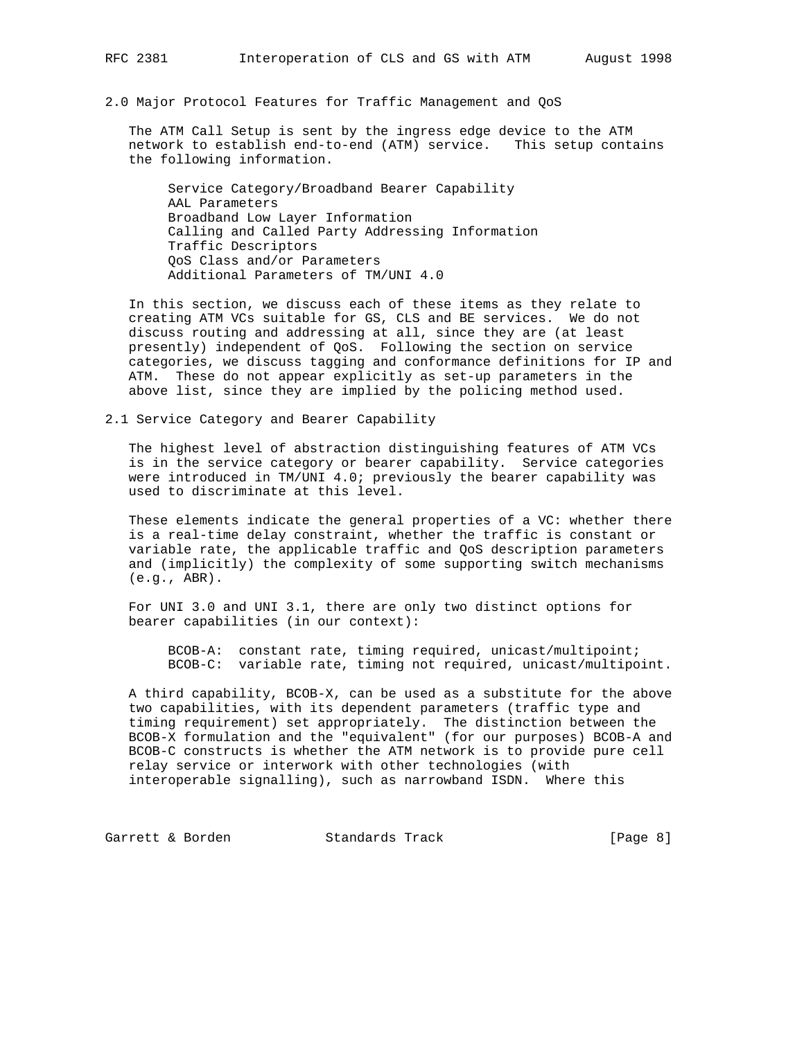2.0 Major Protocol Features for Traffic Management and QoS

 The ATM Call Setup is sent by the ingress edge device to the ATM network to establish end-to-end (ATM) service. This setup contains the following information.

 Service Category/Broadband Bearer Capability AAL Parameters Broadband Low Layer Information Calling and Called Party Addressing Information Traffic Descriptors QoS Class and/or Parameters Additional Parameters of TM/UNI 4.0

 In this section, we discuss each of these items as they relate to creating ATM VCs suitable for GS, CLS and BE services. We do not discuss routing and addressing at all, since they are (at least presently) independent of QoS. Following the section on service categories, we discuss tagging and conformance definitions for IP and ATM. These do not appear explicitly as set-up parameters in the above list, since they are implied by the policing method used.

2.1 Service Category and Bearer Capability

 The highest level of abstraction distinguishing features of ATM VCs is in the service category or bearer capability. Service categories were introduced in TM/UNI 4.0; previously the bearer capability was used to discriminate at this level.

 These elements indicate the general properties of a VC: whether there is a real-time delay constraint, whether the traffic is constant or variable rate, the applicable traffic and QoS description parameters and (implicitly) the complexity of some supporting switch mechanisms (e.g., ABR).

 For UNI 3.0 and UNI 3.1, there are only two distinct options for bearer capabilities (in our context):

 BCOB-A: constant rate, timing required, unicast/multipoint; BCOB-C: variable rate, timing not required, unicast/multipoint.

 A third capability, BCOB-X, can be used as a substitute for the above two capabilities, with its dependent parameters (traffic type and timing requirement) set appropriately. The distinction between the BCOB-X formulation and the "equivalent" (for our purposes) BCOB-A and BCOB-C constructs is whether the ATM network is to provide pure cell relay service or interwork with other technologies (with interoperable signalling), such as narrowband ISDN. Where this

Garrett & Borden Standards Track (Page 8)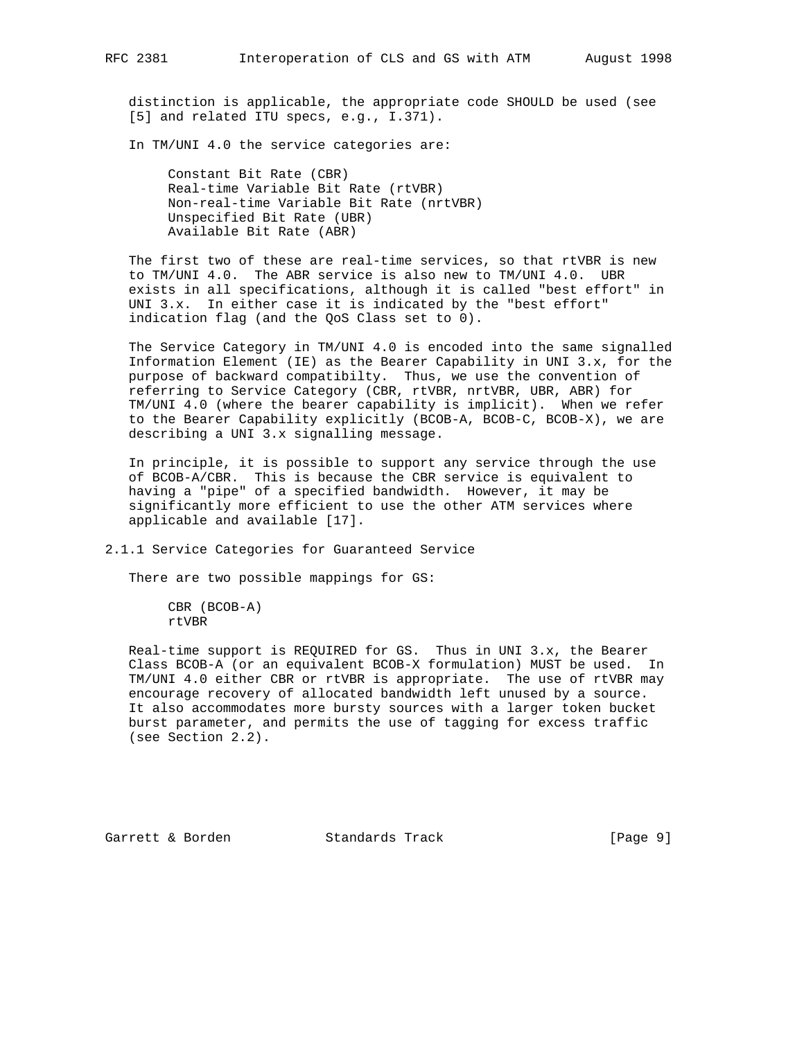distinction is applicable, the appropriate code SHOULD be used (see [5] and related ITU specs, e.g., I.371).

In TM/UNI 4.0 the service categories are:

 Constant Bit Rate (CBR) Real-time Variable Bit Rate (rtVBR) Non-real-time Variable Bit Rate (nrtVBR) Unspecified Bit Rate (UBR) Available Bit Rate (ABR)

 The first two of these are real-time services, so that rtVBR is new to TM/UNI 4.0. The ABR service is also new to TM/UNI 4.0. UBR exists in all specifications, although it is called "best effort" in UNI 3.x. In either case it is indicated by the "best effort" indication flag (and the QoS Class set to 0).

 The Service Category in TM/UNI 4.0 is encoded into the same signalled Information Element (IE) as the Bearer Capability in UNI 3.x, for the purpose of backward compatibilty. Thus, we use the convention of referring to Service Category (CBR, rtVBR, nrtVBR, UBR, ABR) for TM/UNI 4.0 (where the bearer capability is implicit). When we refer to the Bearer Capability explicitly (BCOB-A, BCOB-C, BCOB-X), we are describing a UNI 3.x signalling message.

 In principle, it is possible to support any service through the use of BCOB-A/CBR. This is because the CBR service is equivalent to having a "pipe" of a specified bandwidth. However, it may be significantly more efficient to use the other ATM services where applicable and available [17].

2.1.1 Service Categories for Guaranteed Service

There are two possible mappings for GS:

 CBR (BCOB-A) rtVBR

 Real-time support is REQUIRED for GS. Thus in UNI 3.x, the Bearer Class BCOB-A (or an equivalent BCOB-X formulation) MUST be used. In TM/UNI 4.0 either CBR or rtVBR is appropriate. The use of rtVBR may encourage recovery of allocated bandwidth left unused by a source. It also accommodates more bursty sources with a larger token bucket burst parameter, and permits the use of tagging for excess traffic (see Section 2.2).

Garrett & Borden Standards Track [Page 9]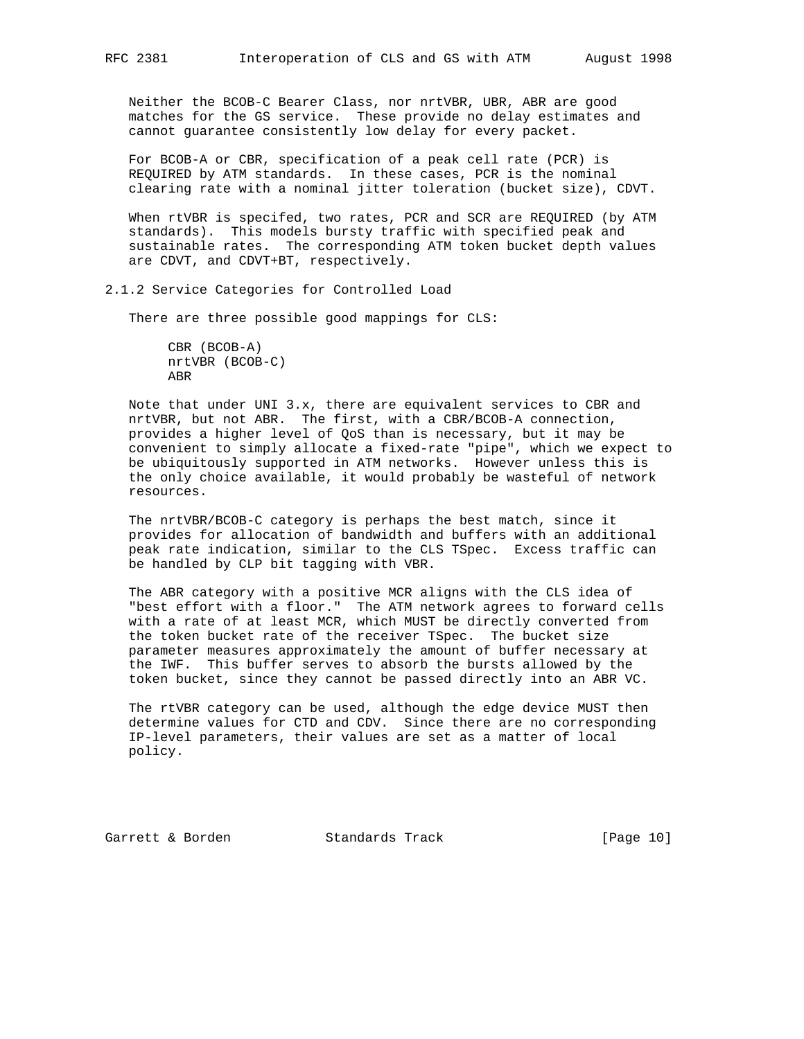Neither the BCOB-C Bearer Class, nor nrtVBR, UBR, ABR are good matches for the GS service. These provide no delay estimates and cannot guarantee consistently low delay for every packet.

 For BCOB-A or CBR, specification of a peak cell rate (PCR) is REQUIRED by ATM standards. In these cases, PCR is the nominal clearing rate with a nominal jitter toleration (bucket size), CDVT.

 When rtVBR is specifed, two rates, PCR and SCR are REQUIRED (by ATM standards). This models bursty traffic with specified peak and sustainable rates. The corresponding ATM token bucket depth values are CDVT, and CDVT+BT, respectively.

2.1.2 Service Categories for Controlled Load

There are three possible good mappings for CLS:

 CBR (BCOB-A) nrtVBR (BCOB-C) ABR

 Note that under UNI 3.x, there are equivalent services to CBR and nrtVBR, but not ABR. The first, with a CBR/BCOB-A connection, provides a higher level of QoS than is necessary, but it may be convenient to simply allocate a fixed-rate "pipe", which we expect to be ubiquitously supported in ATM networks. However unless this is the only choice available, it would probably be wasteful of network resources.

 The nrtVBR/BCOB-C category is perhaps the best match, since it provides for allocation of bandwidth and buffers with an additional peak rate indication, similar to the CLS TSpec. Excess traffic can be handled by CLP bit tagging with VBR.

 The ABR category with a positive MCR aligns with the CLS idea of "best effort with a floor." The ATM network agrees to forward cells with a rate of at least MCR, which MUST be directly converted from the token bucket rate of the receiver TSpec. The bucket size parameter measures approximately the amount of buffer necessary at the IWF. This buffer serves to absorb the bursts allowed by the token bucket, since they cannot be passed directly into an ABR VC.

 The rtVBR category can be used, although the edge device MUST then determine values for CTD and CDV. Since there are no corresponding IP-level parameters, their values are set as a matter of local policy.

Garrett & Borden Standards Track [Page 10]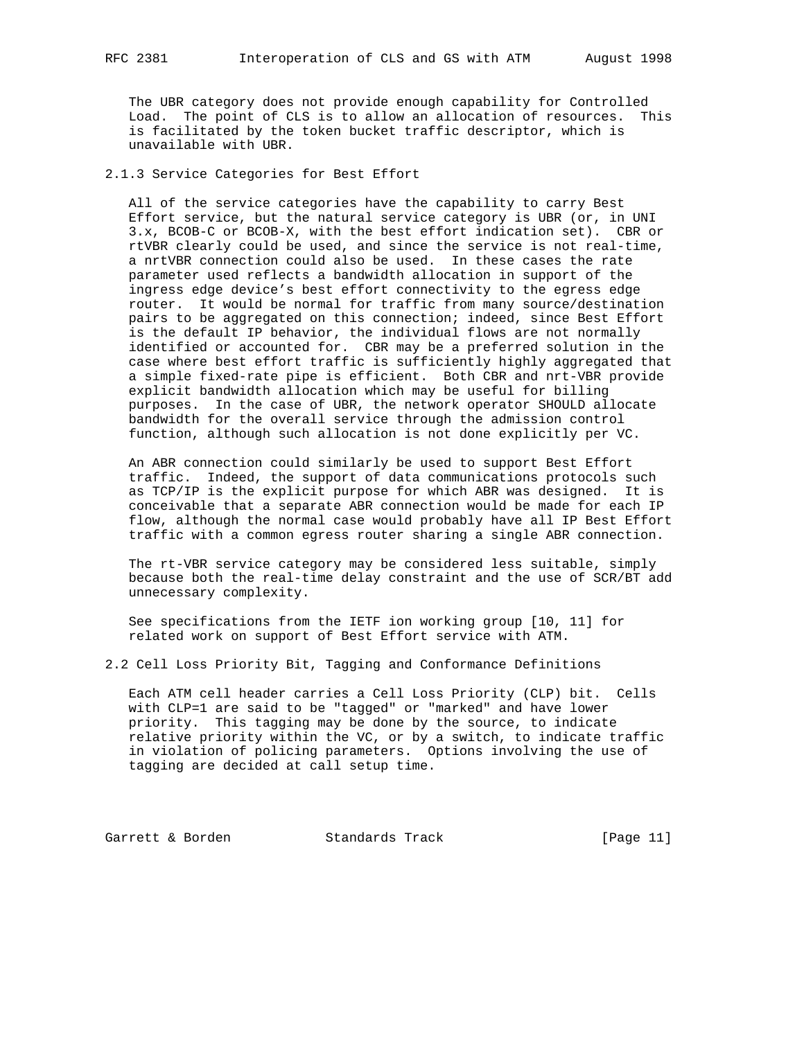The UBR category does not provide enough capability for Controlled Load. The point of CLS is to allow an allocation of resources. This is facilitated by the token bucket traffic descriptor, which is unavailable with UBR.

2.1.3 Service Categories for Best Effort

 All of the service categories have the capability to carry Best Effort service, but the natural service category is UBR (or, in UNI 3.x, BCOB-C or BCOB-X, with the best effort indication set). CBR or rtVBR clearly could be used, and since the service is not real-time, a nrtVBR connection could also be used. In these cases the rate parameter used reflects a bandwidth allocation in support of the ingress edge device's best effort connectivity to the egress edge router. It would be normal for traffic from many source/destination pairs to be aggregated on this connection; indeed, since Best Effort is the default IP behavior, the individual flows are not normally identified or accounted for. CBR may be a preferred solution in the case where best effort traffic is sufficiently highly aggregated that a simple fixed-rate pipe is efficient. Both CBR and nrt-VBR provide explicit bandwidth allocation which may be useful for billing purposes. In the case of UBR, the network operator SHOULD allocate bandwidth for the overall service through the admission control function, although such allocation is not done explicitly per VC.

 An ABR connection could similarly be used to support Best Effort traffic. Indeed, the support of data communications protocols such as TCP/IP is the explicit purpose for which ABR was designed. It is conceivable that a separate ABR connection would be made for each IP flow, although the normal case would probably have all IP Best Effort traffic with a common egress router sharing a single ABR connection.

 The rt-VBR service category may be considered less suitable, simply because both the real-time delay constraint and the use of SCR/BT add unnecessary complexity.

 See specifications from the IETF ion working group [10, 11] for related work on support of Best Effort service with ATM.

2.2 Cell Loss Priority Bit, Tagging and Conformance Definitions

 Each ATM cell header carries a Cell Loss Priority (CLP) bit. Cells with CLP=1 are said to be "tagged" or "marked" and have lower priority. This tagging may be done by the source, to indicate relative priority within the VC, or by a switch, to indicate traffic in violation of policing parameters. Options involving the use of tagging are decided at call setup time.

Garrett & Borden Standards Track [Page 11]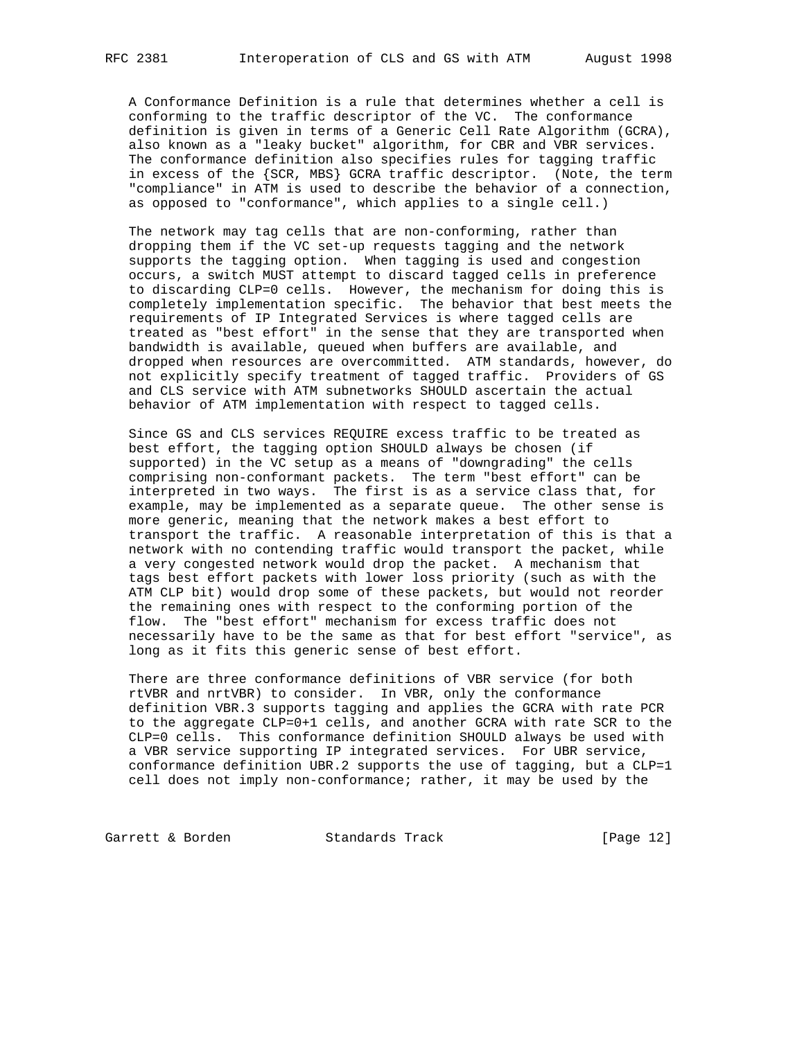A Conformance Definition is a rule that determines whether a cell is conforming to the traffic descriptor of the VC. The conformance definition is given in terms of a Generic Cell Rate Algorithm (GCRA), also known as a "leaky bucket" algorithm, for CBR and VBR services. The conformance definition also specifies rules for tagging traffic in excess of the {SCR, MBS} GCRA traffic descriptor. (Note, the term "compliance" in ATM is used to describe the behavior of a connection, as opposed to "conformance", which applies to a single cell.)

 The network may tag cells that are non-conforming, rather than dropping them if the VC set-up requests tagging and the network supports the tagging option. When tagging is used and congestion occurs, a switch MUST attempt to discard tagged cells in preference to discarding CLP=0 cells. However, the mechanism for doing this is completely implementation specific. The behavior that best meets the requirements of IP Integrated Services is where tagged cells are treated as "best effort" in the sense that they are transported when bandwidth is available, queued when buffers are available, and dropped when resources are overcommitted. ATM standards, however, do not explicitly specify treatment of tagged traffic. Providers of GS and CLS service with ATM subnetworks SHOULD ascertain the actual behavior of ATM implementation with respect to tagged cells.

 Since GS and CLS services REQUIRE excess traffic to be treated as best effort, the tagging option SHOULD always be chosen (if supported) in the VC setup as a means of "downgrading" the cells comprising non-conformant packets. The term "best effort" can be interpreted in two ways. The first is as a service class that, for example, may be implemented as a separate queue. The other sense is more generic, meaning that the network makes a best effort to transport the traffic. A reasonable interpretation of this is that a network with no contending traffic would transport the packet, while a very congested network would drop the packet. A mechanism that tags best effort packets with lower loss priority (such as with the ATM CLP bit) would drop some of these packets, but would not reorder the remaining ones with respect to the conforming portion of the flow. The "best effort" mechanism for excess traffic does not necessarily have to be the same as that for best effort "service", as long as it fits this generic sense of best effort.

 There are three conformance definitions of VBR service (for both rtVBR and nrtVBR) to consider. In VBR, only the conformance definition VBR.3 supports tagging and applies the GCRA with rate PCR to the aggregate CLP=0+1 cells, and another GCRA with rate SCR to the CLP=0 cells. This conformance definition SHOULD always be used with a VBR service supporting IP integrated services. For UBR service, conformance definition UBR.2 supports the use of tagging, but a CLP=1 cell does not imply non-conformance; rather, it may be used by the

Garrett & Borden Standards Track [Page 12]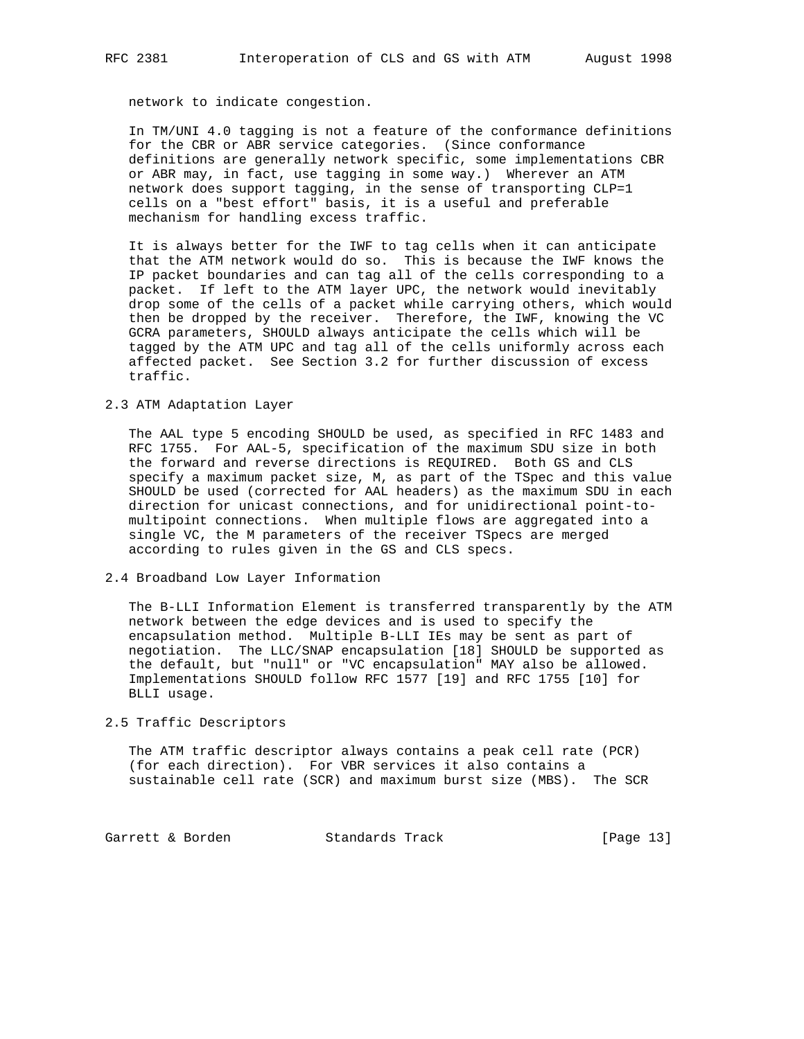network to indicate congestion.

 In TM/UNI 4.0 tagging is not a feature of the conformance definitions for the CBR or ABR service categories. (Since conformance definitions are generally network specific, some implementations CBR or ABR may, in fact, use tagging in some way.) Wherever an ATM network does support tagging, in the sense of transporting CLP=1 cells on a "best effort" basis, it is a useful and preferable mechanism for handling excess traffic.

 It is always better for the IWF to tag cells when it can anticipate that the ATM network would do so. This is because the IWF knows the IP packet boundaries and can tag all of the cells corresponding to a packet. If left to the ATM layer UPC, the network would inevitably drop some of the cells of a packet while carrying others, which would then be dropped by the receiver. Therefore, the IWF, knowing the VC GCRA parameters, SHOULD always anticipate the cells which will be tagged by the ATM UPC and tag all of the cells uniformly across each affected packet. See Section 3.2 for further discussion of excess traffic.

2.3 ATM Adaptation Layer

 The AAL type 5 encoding SHOULD be used, as specified in RFC 1483 and RFC 1755. For AAL-5, specification of the maximum SDU size in both the forward and reverse directions is REQUIRED. Both GS and CLS specify a maximum packet size, M, as part of the TSpec and this value SHOULD be used (corrected for AAL headers) as the maximum SDU in each direction for unicast connections, and for unidirectional point-to multipoint connections. When multiple flows are aggregated into a single VC, the M parameters of the receiver TSpecs are merged according to rules given in the GS and CLS specs.

2.4 Broadband Low Layer Information

 The B-LLI Information Element is transferred transparently by the ATM network between the edge devices and is used to specify the encapsulation method. Multiple B-LLI IEs may be sent as part of negotiation. The LLC/SNAP encapsulation [18] SHOULD be supported as the default, but "null" or "VC encapsulation" MAY also be allowed. Implementations SHOULD follow RFC 1577 [19] and RFC 1755 [10] for BLLI usage.

### 2.5 Traffic Descriptors

 The ATM traffic descriptor always contains a peak cell rate (PCR) (for each direction). For VBR services it also contains a sustainable cell rate (SCR) and maximum burst size (MBS). The SCR

Garrett & Borden Standards Track [Page 13]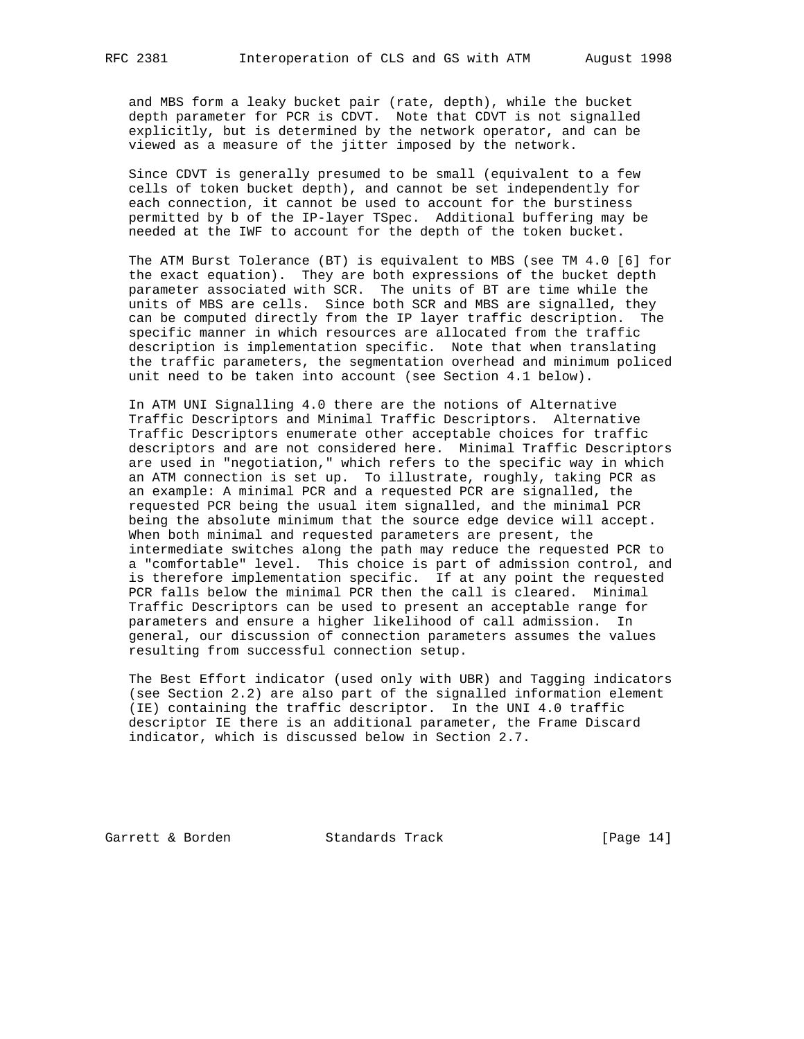and MBS form a leaky bucket pair (rate, depth), while the bucket depth parameter for PCR is CDVT. Note that CDVT is not signalled explicitly, but is determined by the network operator, and can be viewed as a measure of the jitter imposed by the network.

 Since CDVT is generally presumed to be small (equivalent to a few cells of token bucket depth), and cannot be set independently for each connection, it cannot be used to account for the burstiness permitted by b of the IP-layer TSpec. Additional buffering may be needed at the IWF to account for the depth of the token bucket.

 The ATM Burst Tolerance (BT) is equivalent to MBS (see TM 4.0 [6] for the exact equation). They are both expressions of the bucket depth parameter associated with SCR. The units of BT are time while the units of MBS are cells. Since both SCR and MBS are signalled, they can be computed directly from the IP layer traffic description. The specific manner in which resources are allocated from the traffic description is implementation specific. Note that when translating the traffic parameters, the segmentation overhead and minimum policed unit need to be taken into account (see Section 4.1 below).

 In ATM UNI Signalling 4.0 there are the notions of Alternative Traffic Descriptors and Minimal Traffic Descriptors. Alternative Traffic Descriptors enumerate other acceptable choices for traffic descriptors and are not considered here. Minimal Traffic Descriptors are used in "negotiation," which refers to the specific way in which an ATM connection is set up. To illustrate, roughly, taking PCR as an example: A minimal PCR and a requested PCR are signalled, the requested PCR being the usual item signalled, and the minimal PCR being the absolute minimum that the source edge device will accept. When both minimal and requested parameters are present, the intermediate switches along the path may reduce the requested PCR to a "comfortable" level. This choice is part of admission control, and is therefore implementation specific. If at any point the requested PCR falls below the minimal PCR then the call is cleared. Minimal Traffic Descriptors can be used to present an acceptable range for parameters and ensure a higher likelihood of call admission. In general, our discussion of connection parameters assumes the values resulting from successful connection setup.

 The Best Effort indicator (used only with UBR) and Tagging indicators (see Section 2.2) are also part of the signalled information element (IE) containing the traffic descriptor. In the UNI 4.0 traffic descriptor IE there is an additional parameter, the Frame Discard indicator, which is discussed below in Section 2.7.

Garrett & Borden Standards Track [Page 14]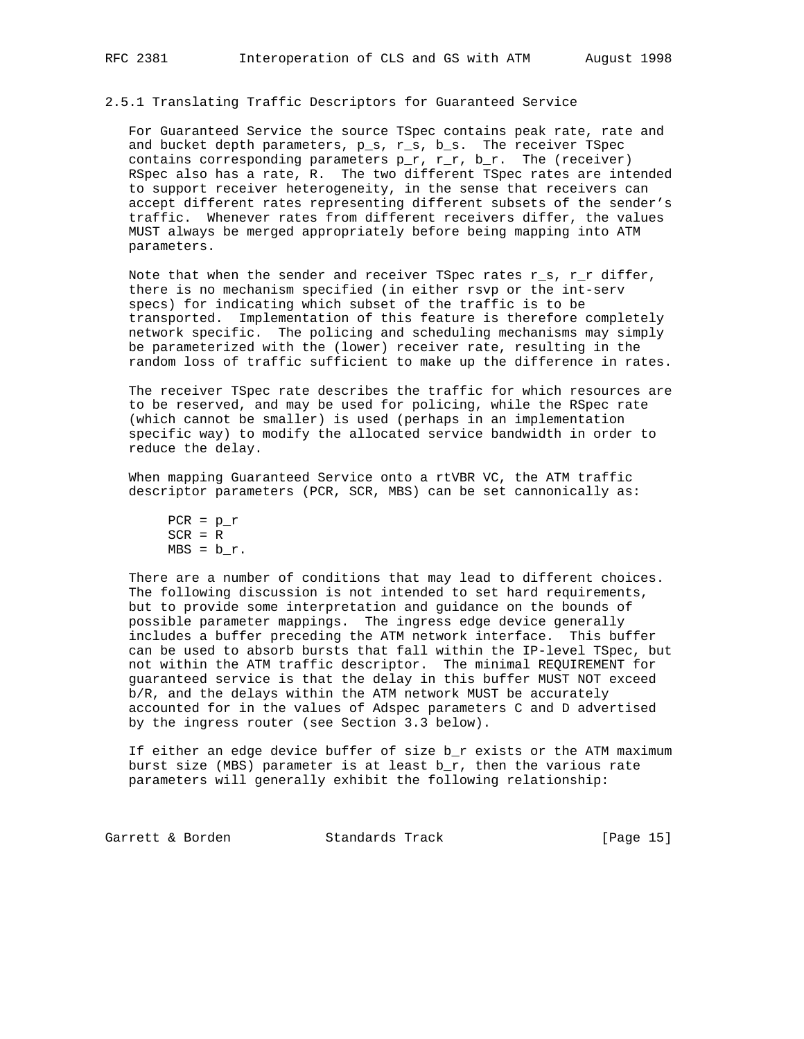# 2.5.1 Translating Traffic Descriptors for Guaranteed Service

 For Guaranteed Service the source TSpec contains peak rate, rate and and bucket depth parameters, p\_s, r\_s, b\_s. The receiver TSpec contains corresponding parameters  $p_r$ ,  $r_r$ ,  $b_r$ . The (receiver) RSpec also has a rate, R. The two different TSpec rates are intended to support receiver heterogeneity, in the sense that receivers can accept different rates representing different subsets of the sender's traffic. Whenever rates from different receivers differ, the values MUST always be merged appropriately before being mapping into ATM parameters.

 Note that when the sender and receiver TSpec rates r\_s, r\_r differ, there is no mechanism specified (in either rsvp or the int-serv specs) for indicating which subset of the traffic is to be transported. Implementation of this feature is therefore completely network specific. The policing and scheduling mechanisms may simply be parameterized with the (lower) receiver rate, resulting in the random loss of traffic sufficient to make up the difference in rates.

 The receiver TSpec rate describes the traffic for which resources are to be reserved, and may be used for policing, while the RSpec rate (which cannot be smaller) is used (perhaps in an implementation specific way) to modify the allocated service bandwidth in order to reduce the delay.

 When mapping Guaranteed Service onto a rtVBR VC, the ATM traffic descriptor parameters (PCR, SCR, MBS) can be set cannonically as:

 There are a number of conditions that may lead to different choices. The following discussion is not intended to set hard requirements, but to provide some interpretation and guidance on the bounds of possible parameter mappings. The ingress edge device generally includes a buffer preceding the ATM network interface. This buffer can be used to absorb bursts that fall within the IP-level TSpec, but not within the ATM traffic descriptor. The minimal REQUIREMENT for guaranteed service is that the delay in this buffer MUST NOT exceed b/R, and the delays within the ATM network MUST be accurately accounted for in the values of Adspec parameters C and D advertised by the ingress router (see Section 3.3 below).

 If either an edge device buffer of size b\_r exists or the ATM maximum burst size (MBS) parameter is at least b\_r, then the various rate parameters will generally exhibit the following relationship:

Garrett & Borden Standards Track [Page 15]

 $PCR = p_r$  $SCR = R$  $MBS = b_r$ .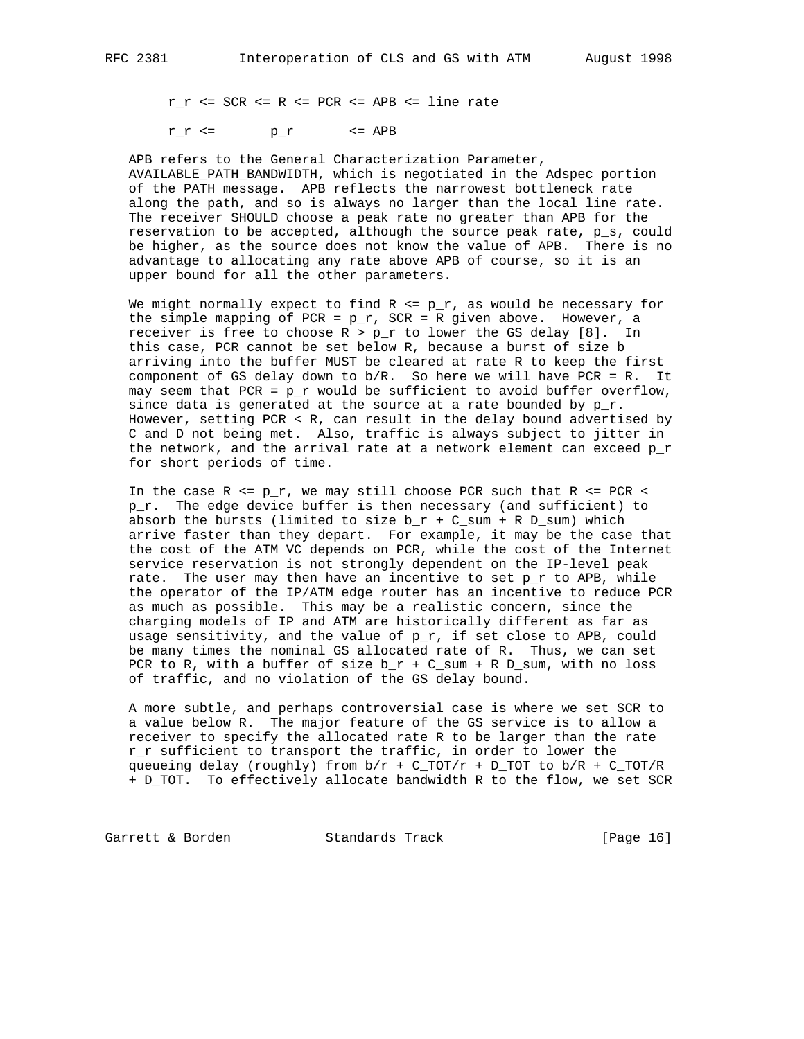$r_r < = SCR$  <= R <= PCR <= APB <= line rate

 $r_r \leq r$   $p_r \leq \text{APB}$ 

 APB refers to the General Characterization Parameter, AVAILABLE\_PATH\_BANDWIDTH, which is negotiated in the Adspec portion of the PATH message. APB reflects the narrowest bottleneck rate along the path, and so is always no larger than the local line rate. The receiver SHOULD choose a peak rate no greater than APB for the reservation to be accepted, although the source peak rate, p\_s, could be higher, as the source does not know the value of APB. There is no advantage to allocating any rate above APB of course, so it is an upper bound for all the other parameters.

We might normally expect to find  $R \leq p_r$ , as would be necessary for the simple mapping of PCR =  $p_r$ , SCR = R given above. However, a receiver is free to choose  $R > p_r$  to lower the GS delay [8]. In this case, PCR cannot be set below R, because a burst of size b arriving into the buffer MUST be cleared at rate R to keep the first component of GS delay down to b/R. So here we will have PCR = R. It may seem that PCR =  $p_r$  would be sufficient to avoid buffer overflow, since data is generated at the source at a rate bounded by  $p_r$ . However, setting PCR  $\langle$  R, can result in the delay bound advertised by C and D not being met. Also, traffic is always subject to jitter in the network, and the arrival rate at a network element can exceed p\_r for short periods of time.

In the case  $R \leq p_r$ , we may still choose PCR such that  $R \leq PCR \leq$  p\_r. The edge device buffer is then necessary (and sufficient) to absorb the bursts (limited to size  $b_r + C_s$ sum + R  $D_s$ sum) which arrive faster than they depart. For example, it may be the case that the cost of the ATM VC depends on PCR, while the cost of the Internet service reservation is not strongly dependent on the IP-level peak rate. The user may then have an incentive to set  $p$   $r$  to APB, while the operator of the IP/ATM edge router has an incentive to reduce PCR as much as possible. This may be a realistic concern, since the charging models of IP and ATM are historically different as far as usage sensitivity, and the value of  $p_r$ , if set close to APB, could be many times the nominal GS allocated rate of R. Thus, we can set PCR to R, with a buffer of size  $b_r + C_s$ sum + R  $D_s$ sum, with no loss of traffic, and no violation of the GS delay bound.

 A more subtle, and perhaps controversial case is where we set SCR to a value below R. The major feature of the GS service is to allow a receiver to specify the allocated rate R to be larger than the rate r\_r sufficient to transport the traffic, in order to lower the queueing delay (roughly) from  $b/r$  + C\_TOT/r + D\_TOT to  $b/R$  + C\_TOT/R + D\_TOT. To effectively allocate bandwidth R to the flow, we set SCR

Garrett & Borden Standards Track [Page 16]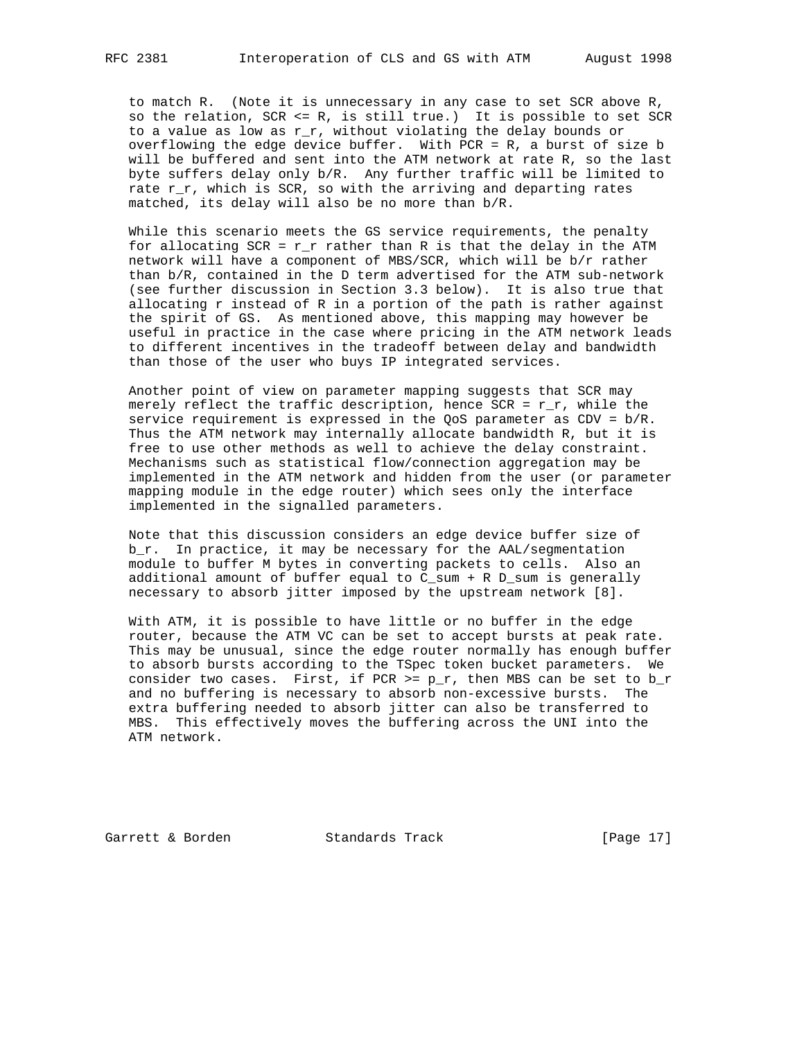to match R. (Note it is unnecessary in any case to set SCR above R, so the relation, SCR <= R, is still true.) It is possible to set SCR to a value as low as r\_r, without violating the delay bounds or overflowing the edge device buffer. With PCR = R, a burst of size b will be buffered and sent into the ATM network at rate R, so the last byte suffers delay only b/R. Any further traffic will be limited to rate  $r_r$ , which is SCR, so with the arriving and departing rates matched, its delay will also be no more than b/R.

 While this scenario meets the GS service requirements, the penalty for allocating  $SCR = r_r$  rather than R is that the delay in the ATM network will have a component of MBS/SCR, which will be b/r rather than b/R, contained in the D term advertised for the ATM sub-network (see further discussion in Section 3.3 below). It is also true that allocating r instead of R in a portion of the path is rather against the spirit of GS. As mentioned above, this mapping may however be useful in practice in the case where pricing in the ATM network leads to different incentives in the tradeoff between delay and bandwidth than those of the user who buys IP integrated services.

 Another point of view on parameter mapping suggests that SCR may merely reflect the traffic description, hence SCR =  $r_r$ , while the service requirement is expressed in the QoS parameter as CDV = b/R. Thus the ATM network may internally allocate bandwidth R, but it is free to use other methods as well to achieve the delay constraint. Mechanisms such as statistical flow/connection aggregation may be implemented in the ATM network and hidden from the user (or parameter mapping module in the edge router) which sees only the interface implemented in the signalled parameters.

 Note that this discussion considers an edge device buffer size of b\_r. In practice, it may be necessary for the AAL/segmentation module to buffer M bytes in converting packets to cells. Also an additional amount of buffer equal to C\_sum + R D\_sum is generally necessary to absorb jitter imposed by the upstream network [8].

 With ATM, it is possible to have little or no buffer in the edge router, because the ATM VC can be set to accept bursts at peak rate. This may be unusual, since the edge router normally has enough buffer to absorb bursts according to the TSpec token bucket parameters. We consider two cases. First, if PCR >=  $p_r$ , then MBS can be set to  $b_r$  and no buffering is necessary to absorb non-excessive bursts. The extra buffering needed to absorb jitter can also be transferred to MBS. This effectively moves the buffering across the UNI into the ATM network.

Garrett & Borden Standards Track [Page 17]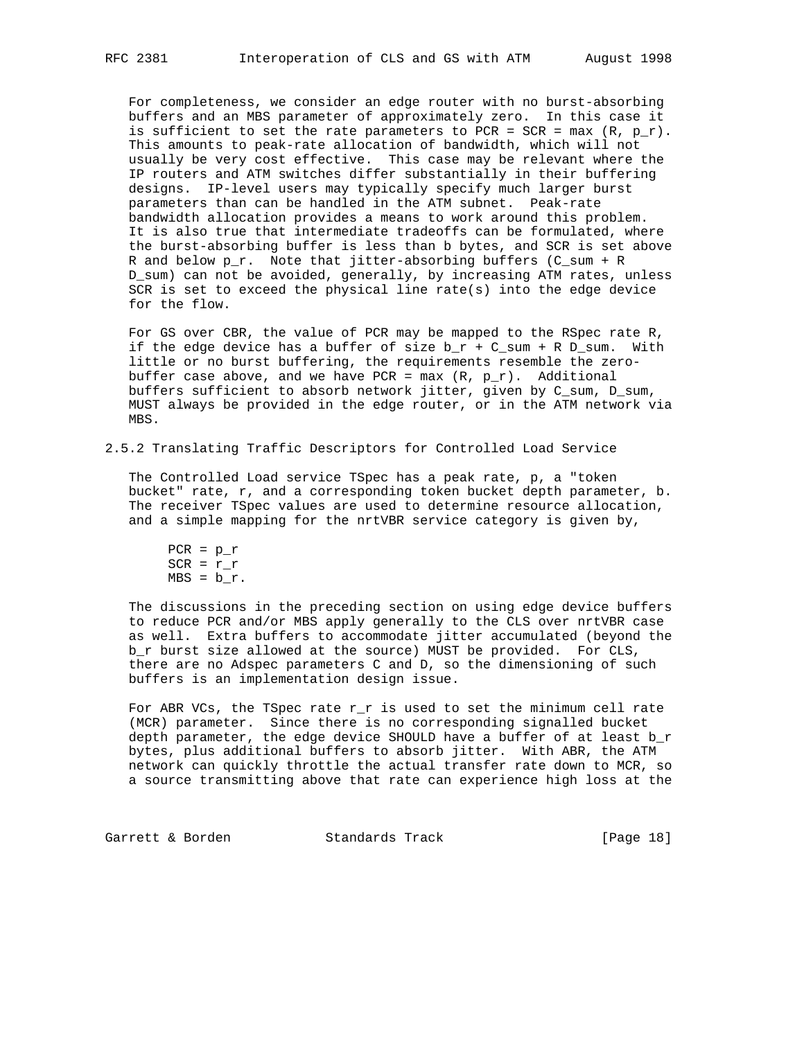For completeness, we consider an edge router with no burst-absorbing buffers and an MBS parameter of approximately zero. In this case it is sufficient to set the rate parameters to PCR =  $SCR = max (R, p_r)$ . This amounts to peak-rate allocation of bandwidth, which will not usually be very cost effective. This case may be relevant where the IP routers and ATM switches differ substantially in their buffering designs. IP-level users may typically specify much larger burst parameters than can be handled in the ATM subnet. Peak-rate bandwidth allocation provides a means to work around this problem. It is also true that intermediate tradeoffs can be formulated, where the burst-absorbing buffer is less than b bytes, and SCR is set above R and below p\_r. Note that jitter-absorbing buffers (C\_sum + R D\_sum) can not be avoided, generally, by increasing ATM rates, unless SCR is set to exceed the physical line rate(s) into the edge device for the flow.

For GS over CBR, the value of PCR may be mapped to the RSpec rate R, if the edge device has a buffer of size  $b_r + C_s$ sum + R D\_sum. With little or no burst buffering, the requirements resemble the zero buffer case above, and we have PCR =  $max(R, p_r)$ . Additional buffers sufficient to absorb network jitter, given by C\_sum, D\_sum, MUST always be provided in the edge router, or in the ATM network via MBS.

## 2.5.2 Translating Traffic Descriptors for Controlled Load Service

 The Controlled Load service TSpec has a peak rate, p, a "token bucket" rate, r, and a corresponding token bucket depth parameter, b. The receiver TSpec values are used to determine resource allocation, and a simple mapping for the nrtVBR service category is given by,

```
PCR = p_rSCR = r_rMBS = b_r.
```
 The discussions in the preceding section on using edge device buffers to reduce PCR and/or MBS apply generally to the CLS over nrtVBR case as well. Extra buffers to accommodate jitter accumulated (beyond the b\_r burst size allowed at the source) MUST be provided. For CLS, there are no Adspec parameters C and D, so the dimensioning of such buffers is an implementation design issue.

For ABR VCs, the TSpec rate  $r_r$  is used to set the minimum cell rate (MCR) parameter. Since there is no corresponding signalled bucket depth parameter, the edge device SHOULD have a buffer of at least  $b_r$  bytes, plus additional buffers to absorb jitter. With ABR, the ATM network can quickly throttle the actual transfer rate down to MCR, so a source transmitting above that rate can experience high loss at the

Garrett & Borden Standards Track [Page 18]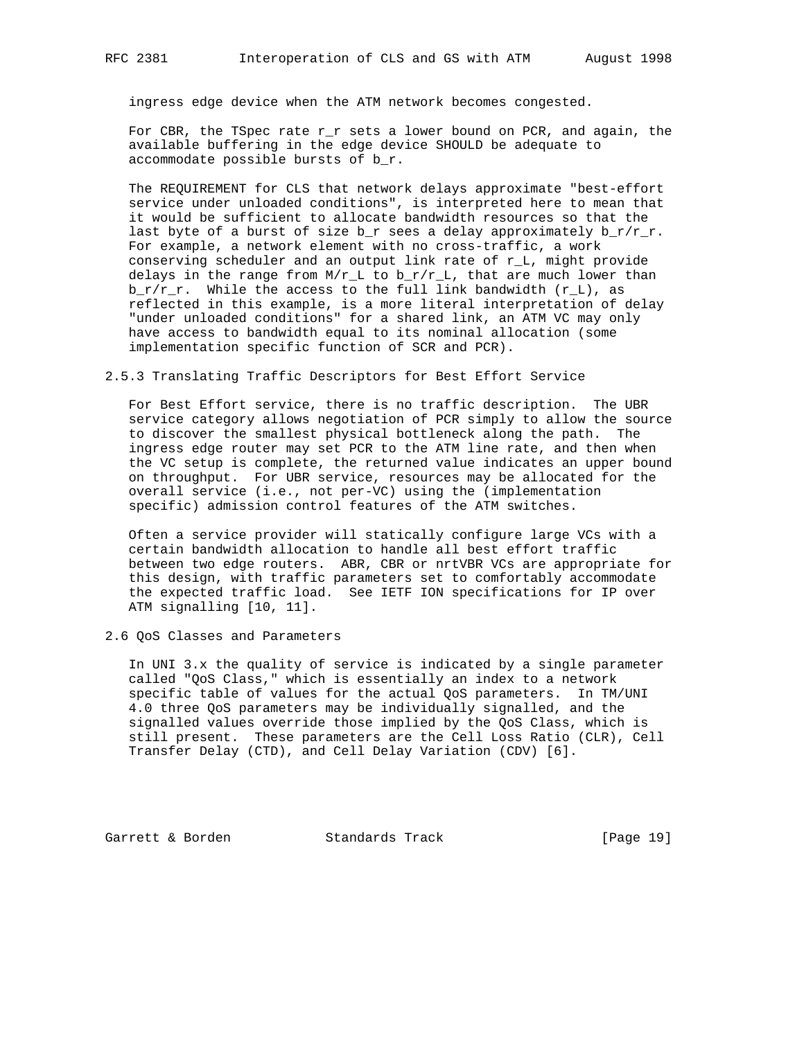ingress edge device when the ATM network becomes congested.

For CBR, the TSpec rate  $r_r$  sets a lower bound on PCR, and again, the available buffering in the edge device SHOULD be adequate to accommodate possible bursts of b\_r.

 The REQUIREMENT for CLS that network delays approximate "best-effort service under unloaded conditions", is interpreted here to mean that it would be sufficient to allocate bandwidth resources so that the last byte of a burst of size  $b_r$  sees a delay approximately  $b_r/r_r$ . For example, a network element with no cross-traffic, a work conserving scheduler and an output link rate of r\_L, might provide delays in the range from  $M/r_L$  to  $b_T/r_L$ , that are much lower than  $b_r/r_r$ . While the access to the full link bandwidth  $(r_l)$ , as reflected in this example, is a more literal interpretation of delay "under unloaded conditions" for a shared link, an ATM VC may only have access to bandwidth equal to its nominal allocation (some implementation specific function of SCR and PCR).

2.5.3 Translating Traffic Descriptors for Best Effort Service

 For Best Effort service, there is no traffic description. The UBR service category allows negotiation of PCR simply to allow the source to discover the smallest physical bottleneck along the path. The ingress edge router may set PCR to the ATM line rate, and then when the VC setup is complete, the returned value indicates an upper bound on throughput. For UBR service, resources may be allocated for the overall service (i.e., not per-VC) using the (implementation specific) admission control features of the ATM switches.

 Often a service provider will statically configure large VCs with a certain bandwidth allocation to handle all best effort traffic between two edge routers. ABR, CBR or nrtVBR VCs are appropriate for this design, with traffic parameters set to comfortably accommodate the expected traffic load. See IETF ION specifications for IP over ATM signalling [10, 11].

2.6 QoS Classes and Parameters

 In UNI 3.x the quality of service is indicated by a single parameter called "QoS Class," which is essentially an index to a network specific table of values for the actual QoS parameters. In TM/UNI 4.0 three QoS parameters may be individually signalled, and the signalled values override those implied by the QoS Class, which is still present. These parameters are the Cell Loss Ratio (CLR), Cell Transfer Delay (CTD), and Cell Delay Variation (CDV) [6].

Garrett & Borden Standards Track [Page 19]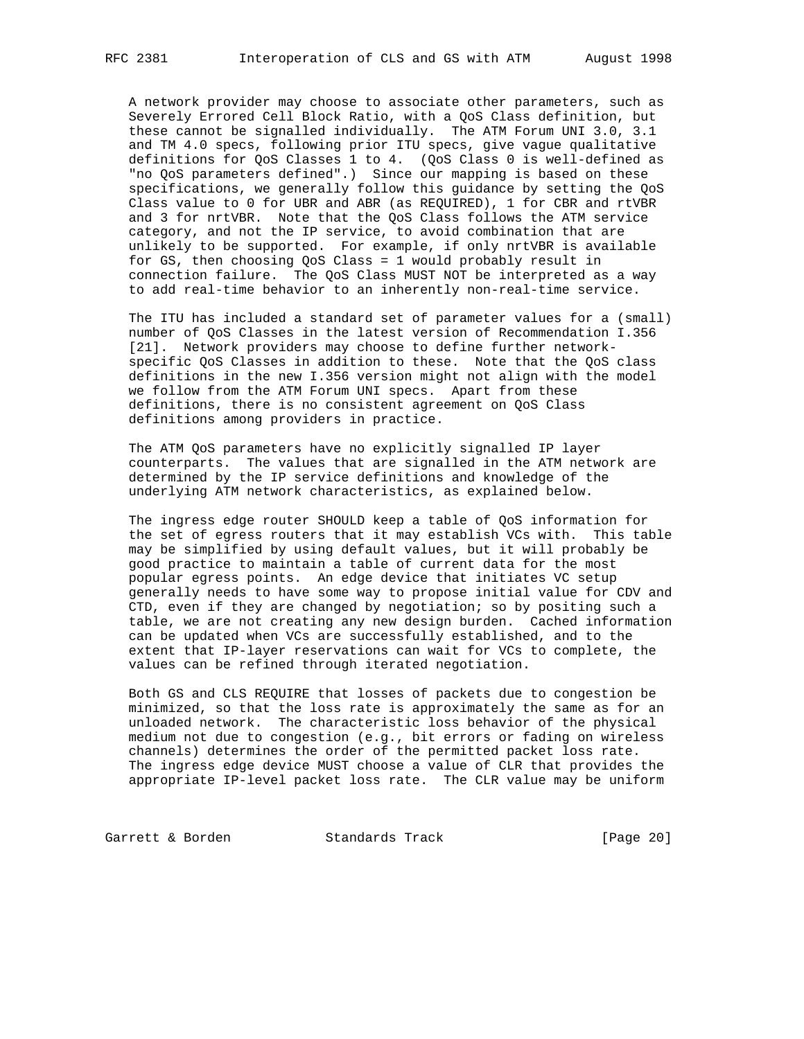A network provider may choose to associate other parameters, such as Severely Errored Cell Block Ratio, with a QoS Class definition, but these cannot be signalled individually. The ATM Forum UNI 3.0, 3.1 and TM 4.0 specs, following prior ITU specs, give vague qualitative definitions for QoS Classes 1 to 4. (QoS Class 0 is well-defined as "no QoS parameters defined".) Since our mapping is based on these specifications, we generally follow this guidance by setting the QoS Class value to 0 for UBR and ABR (as REQUIRED), 1 for CBR and rtVBR and 3 for nrtVBR. Note that the QoS Class follows the ATM service category, and not the IP service, to avoid combination that are unlikely to be supported. For example, if only nrtVBR is available for GS, then choosing QoS Class = 1 would probably result in connection failure. The QoS Class MUST NOT be interpreted as a way to add real-time behavior to an inherently non-real-time service.

 The ITU has included a standard set of parameter values for a (small) number of QoS Classes in the latest version of Recommendation I.356 [21]. Network providers may choose to define further network specific QoS Classes in addition to these. Note that the QoS class definitions in the new I.356 version might not align with the model we follow from the ATM Forum UNI specs. Apart from these definitions, there is no consistent agreement on QoS Class definitions among providers in practice.

 The ATM QoS parameters have no explicitly signalled IP layer counterparts. The values that are signalled in the ATM network are determined by the IP service definitions and knowledge of the underlying ATM network characteristics, as explained below.

 The ingress edge router SHOULD keep a table of QoS information for the set of egress routers that it may establish VCs with. This table may be simplified by using default values, but it will probably be good practice to maintain a table of current data for the most popular egress points. An edge device that initiates VC setup generally needs to have some way to propose initial value for CDV and CTD, even if they are changed by negotiation; so by positing such a table, we are not creating any new design burden. Cached information can be updated when VCs are successfully established, and to the extent that IP-layer reservations can wait for VCs to complete, the values can be refined through iterated negotiation.

 Both GS and CLS REQUIRE that losses of packets due to congestion be minimized, so that the loss rate is approximately the same as for an unloaded network. The characteristic loss behavior of the physical medium not due to congestion (e.g., bit errors or fading on wireless channels) determines the order of the permitted packet loss rate. The ingress edge device MUST choose a value of CLR that provides the appropriate IP-level packet loss rate. The CLR value may be uniform

Garrett & Borden Standards Track [Page 20]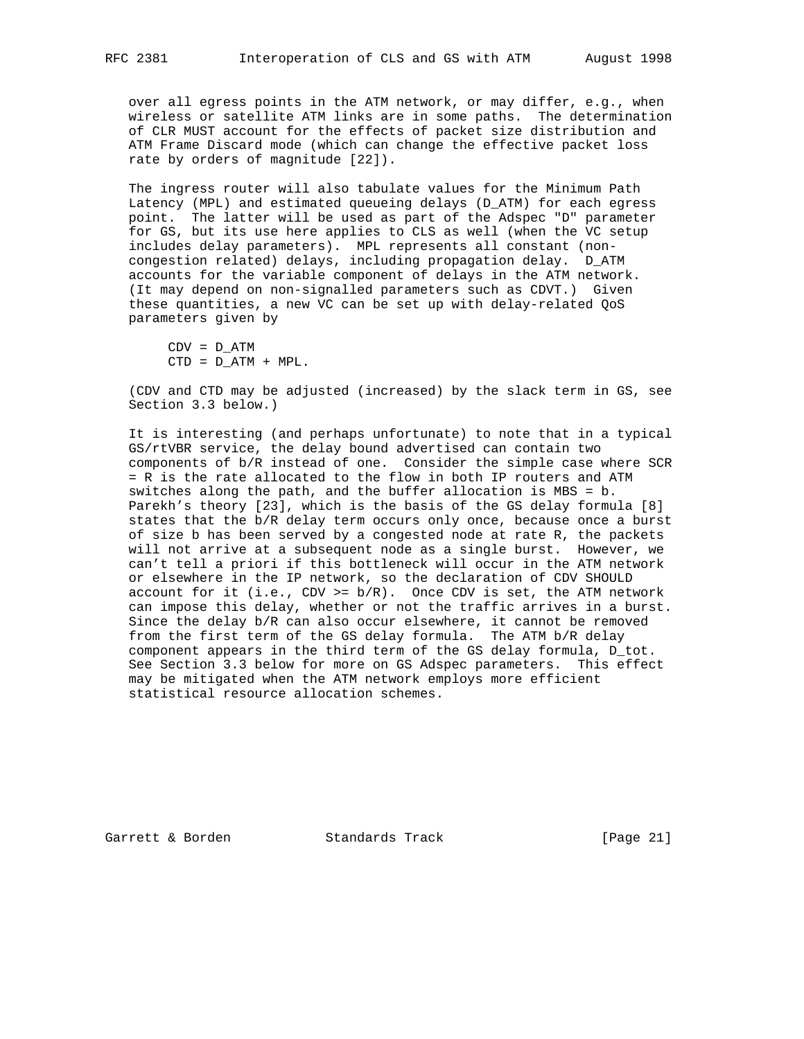over all egress points in the ATM network, or may differ, e.g., when wireless or satellite ATM links are in some paths. The determination of CLR MUST account for the effects of packet size distribution and ATM Frame Discard mode (which can change the effective packet loss rate by orders of magnitude [22]).

 The ingress router will also tabulate values for the Minimum Path Latency (MPL) and estimated queueing delays (D\_ATM) for each egress point. The latter will be used as part of the Adspec "D" parameter for GS, but its use here applies to CLS as well (when the VC setup includes delay parameters). MPL represents all constant (non congestion related) delays, including propagation delay. D\_ATM accounts for the variable component of delays in the ATM network. (It may depend on non-signalled parameters such as CDVT.) Given these quantities, a new VC can be set up with delay-related QoS parameters given by

 $CDV = D_ATM$  $CTD = D_ATM + MPL$ .

 (CDV and CTD may be adjusted (increased) by the slack term in GS, see Section 3.3 below.)

 It is interesting (and perhaps unfortunate) to note that in a typical GS/rtVBR service, the delay bound advertised can contain two components of b/R instead of one. Consider the simple case where SCR = R is the rate allocated to the flow in both IP routers and ATM switches along the path, and the buffer allocation is MBS = b. Parekh's theory [23], which is the basis of the GS delay formula [8] states that the b/R delay term occurs only once, because once a burst of size b has been served by a congested node at rate R, the packets will not arrive at a subsequent node as a single burst. However, we can't tell a priori if this bottleneck will occur in the ATM network or elsewhere in the IP network, so the declaration of CDV SHOULD account for it (i.e.,  $CDV \ge b/R$ ). Once CDV is set, the ATM network can impose this delay, whether or not the traffic arrives in a burst. Since the delay b/R can also occur elsewhere, it cannot be removed from the first term of the GS delay formula. The ATM b/R delay component appears in the third term of the GS delay formula, D\_tot. See Section 3.3 below for more on GS Adspec parameters. This effect may be mitigated when the ATM network employs more efficient statistical resource allocation schemes.

Garrett & Borden Standards Track [Page 21]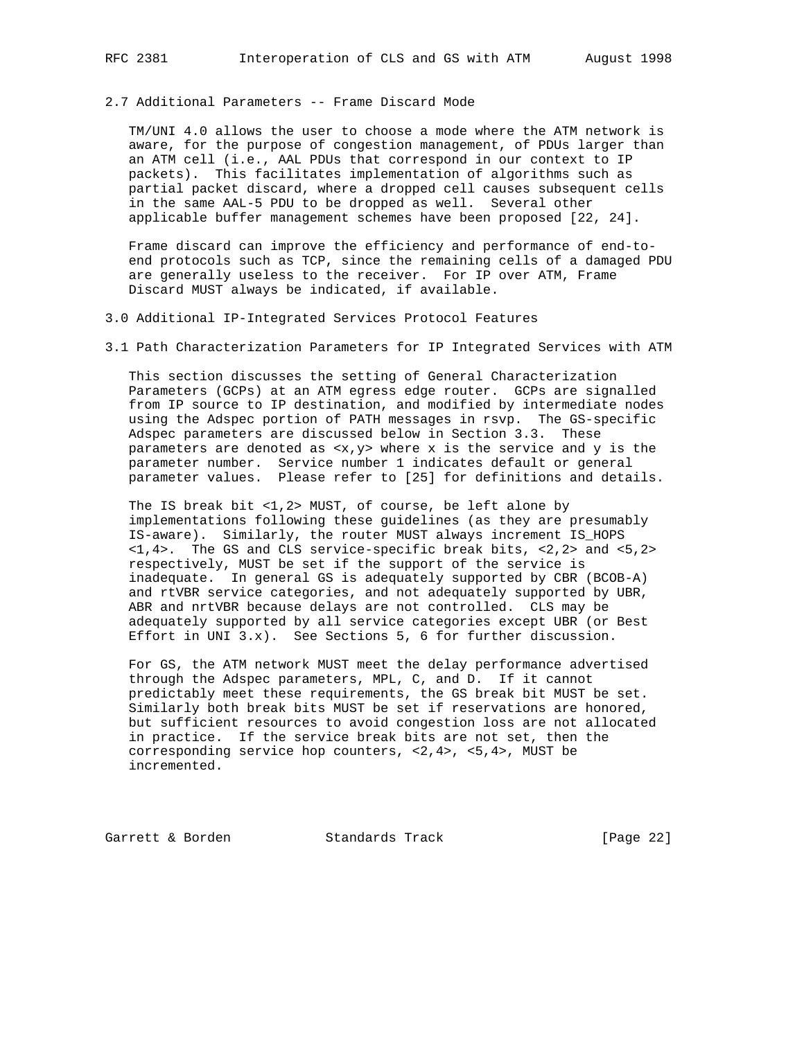# 2.7 Additional Parameters -- Frame Discard Mode

 TM/UNI 4.0 allows the user to choose a mode where the ATM network is aware, for the purpose of congestion management, of PDUs larger than an ATM cell (i.e., AAL PDUs that correspond in our context to IP packets). This facilitates implementation of algorithms such as partial packet discard, where a dropped cell causes subsequent cells in the same AAL-5 PDU to be dropped as well. Several other applicable buffer management schemes have been proposed [22, 24].

 Frame discard can improve the efficiency and performance of end-to end protocols such as TCP, since the remaining cells of a damaged PDU are generally useless to the receiver. For IP over ATM, Frame Discard MUST always be indicated, if available.

3.0 Additional IP-Integrated Services Protocol Features

3.1 Path Characterization Parameters for IP Integrated Services with ATM

 This section discusses the setting of General Characterization Parameters (GCPs) at an ATM egress edge router. GCPs are signalled from IP source to IP destination, and modified by intermediate nodes using the Adspec portion of PATH messages in rsvp. The GS-specific Adspec parameters are discussed below in Section 3.3. These parameters are denoted as <x,y> where x is the service and y is the parameter number. Service number 1 indicates default or general parameter values. Please refer to [25] for definitions and details.

 The IS break bit <1,2> MUST, of course, be left alone by implementations following these guidelines (as they are presumably IS-aware). Similarly, the router MUST always increment IS\_HOPS <1,4>. The GS and CLS service-specific break bits, <2,2> and <5,2> respectively, MUST be set if the support of the service is inadequate. In general GS is adequately supported by CBR (BCOB-A) and rtVBR service categories, and not adequately supported by UBR, ABR and nrtVBR because delays are not controlled. CLS may be adequately supported by all service categories except UBR (or Best Effort in UNI 3.x). See Sections 5, 6 for further discussion.

 For GS, the ATM network MUST meet the delay performance advertised through the Adspec parameters, MPL, C, and D. If it cannot predictably meet these requirements, the GS break bit MUST be set. Similarly both break bits MUST be set if reservations are honored, but sufficient resources to avoid congestion loss are not allocated in practice. If the service break bits are not set, then the corresponding service hop counters, <2,4>, <5,4>, MUST be incremented.

Garrett & Borden Standards Track [Page 22]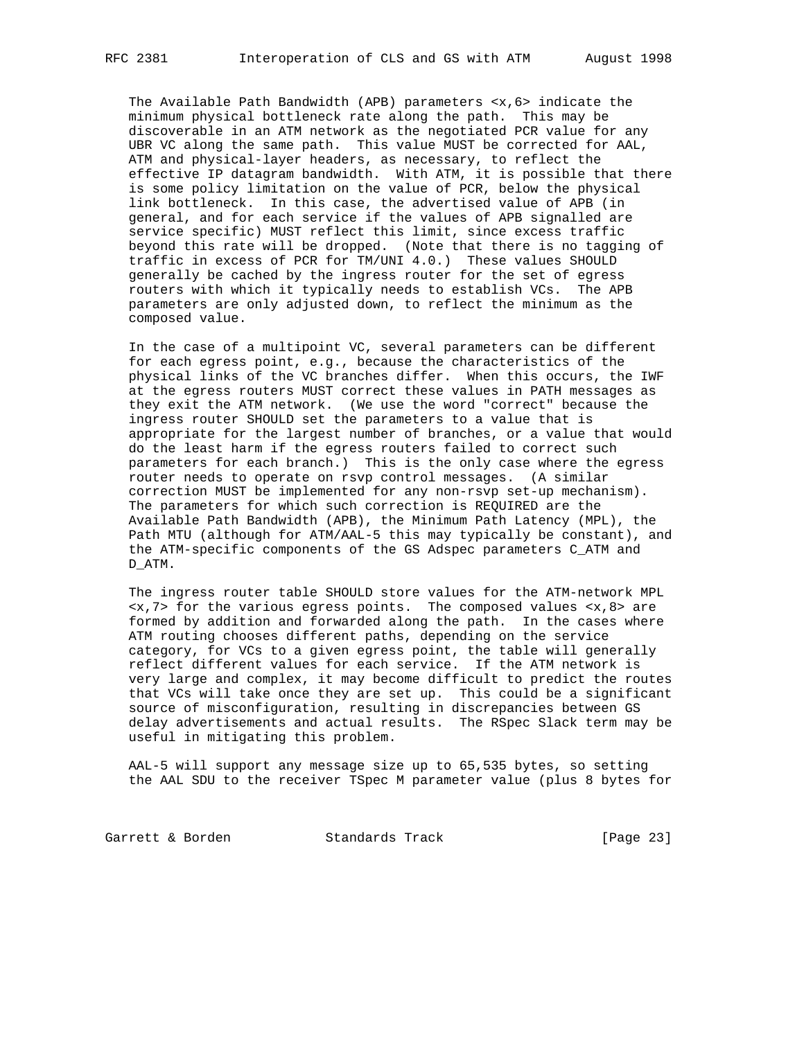The Available Path Bandwidth (APB) parameters  $\langle x, 6 \rangle$  indicate the minimum physical bottleneck rate along the path. This may be discoverable in an ATM network as the negotiated PCR value for any UBR VC along the same path. This value MUST be corrected for AAL, ATM and physical-layer headers, as necessary, to reflect the effective IP datagram bandwidth. With ATM, it is possible that there is some policy limitation on the value of PCR, below the physical link bottleneck. In this case, the advertised value of APB (in general, and for each service if the values of APB signalled are service specific) MUST reflect this limit, since excess traffic beyond this rate will be dropped. (Note that there is no tagging of traffic in excess of PCR for TM/UNI 4.0.) These values SHOULD generally be cached by the ingress router for the set of egress routers with which it typically needs to establish VCs. The APB parameters are only adjusted down, to reflect the minimum as the composed value.

 In the case of a multipoint VC, several parameters can be different for each egress point, e.g., because the characteristics of the physical links of the VC branches differ. When this occurs, the IWF at the egress routers MUST correct these values in PATH messages as they exit the ATM network. (We use the word "correct" because the ingress router SHOULD set the parameters to a value that is appropriate for the largest number of branches, or a value that would do the least harm if the egress routers failed to correct such parameters for each branch.) This is the only case where the egress router needs to operate on rsvp control messages. (A similar correction MUST be implemented for any non-rsvp set-up mechanism). The parameters for which such correction is REQUIRED are the Available Path Bandwidth (APB), the Minimum Path Latency (MPL), the Path MTU (although for ATM/AAL-5 this may typically be constant), and the ATM-specific components of the GS Adspec parameters C\_ATM and D\_ATM.

 The ingress router table SHOULD store values for the ATM-network MPL <x,7> for the various egress points. The composed values <x,8> are formed by addition and forwarded along the path. In the cases where ATM routing chooses different paths, depending on the service category, for VCs to a given egress point, the table will generally reflect different values for each service. If the ATM network is very large and complex, it may become difficult to predict the routes that VCs will take once they are set up. This could be a significant source of misconfiguration, resulting in discrepancies between GS delay advertisements and actual results. The RSpec Slack term may be useful in mitigating this problem.

 AAL-5 will support any message size up to 65,535 bytes, so setting the AAL SDU to the receiver TSpec M parameter value (plus 8 bytes for

Garrett & Borden Standards Track [Page 23]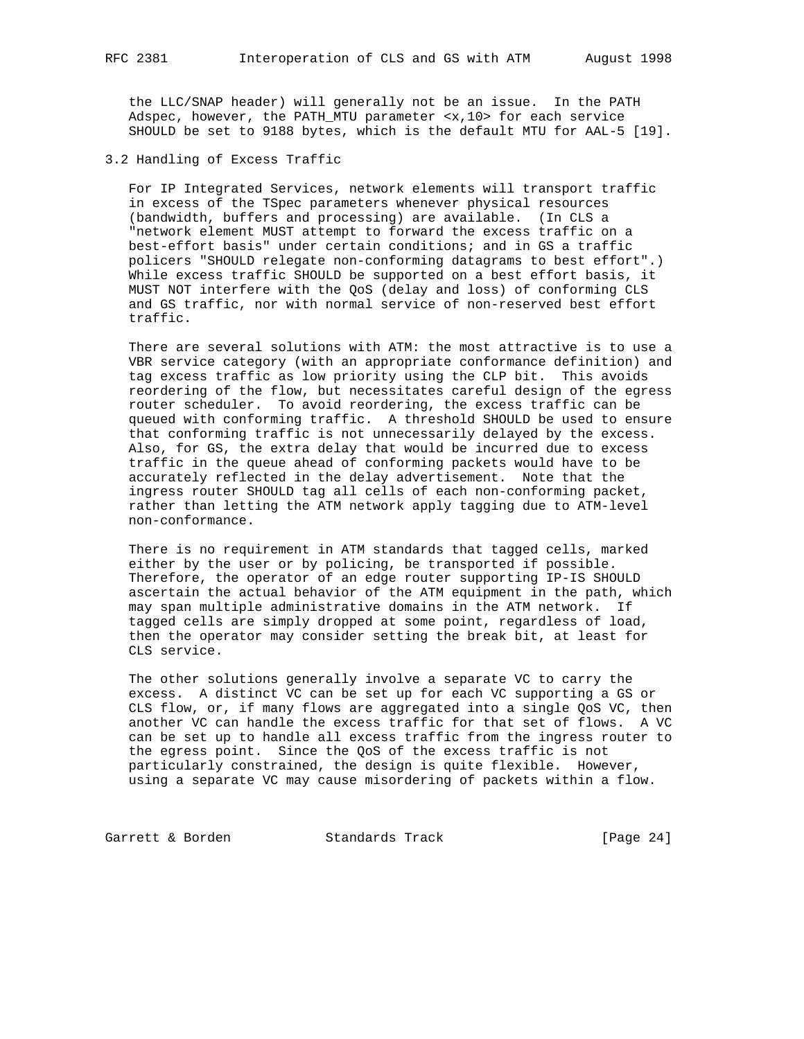the LLC/SNAP header) will generally not be an issue. In the PATH Adspec, however, the PATH\_MTU parameter <x,10> for each service SHOULD be set to 9188 bytes, which is the default MTU for AAL-5 [19].

3.2 Handling of Excess Traffic

 For IP Integrated Services, network elements will transport traffic in excess of the TSpec parameters whenever physical resources (bandwidth, buffers and processing) are available. (In CLS a "network element MUST attempt to forward the excess traffic on a best-effort basis" under certain conditions; and in GS a traffic policers "SHOULD relegate non-conforming datagrams to best effort".) While excess traffic SHOULD be supported on a best effort basis, it MUST NOT interfere with the QoS (delay and loss) of conforming CLS and GS traffic, nor with normal service of non-reserved best effort traffic.

 There are several solutions with ATM: the most attractive is to use a VBR service category (with an appropriate conformance definition) and tag excess traffic as low priority using the CLP bit. This avoids reordering of the flow, but necessitates careful design of the egress router scheduler. To avoid reordering, the excess traffic can be queued with conforming traffic. A threshold SHOULD be used to ensure that conforming traffic is not unnecessarily delayed by the excess. Also, for GS, the extra delay that would be incurred due to excess traffic in the queue ahead of conforming packets would have to be accurately reflected in the delay advertisement. Note that the ingress router SHOULD tag all cells of each non-conforming packet, rather than letting the ATM network apply tagging due to ATM-level non-conformance.

 There is no requirement in ATM standards that tagged cells, marked either by the user or by policing, be transported if possible. Therefore, the operator of an edge router supporting IP-IS SHOULD ascertain the actual behavior of the ATM equipment in the path, which may span multiple administrative domains in the ATM network. If tagged cells are simply dropped at some point, regardless of load, then the operator may consider setting the break bit, at least for CLS service.

 The other solutions generally involve a separate VC to carry the excess. A distinct VC can be set up for each VC supporting a GS or CLS flow, or, if many flows are aggregated into a single QoS VC, then another VC can handle the excess traffic for that set of flows. A VC can be set up to handle all excess traffic from the ingress router to the egress point. Since the QoS of the excess traffic is not particularly constrained, the design is quite flexible. However, using a separate VC may cause misordering of packets within a flow.

Garrett & Borden Standards Track [Page 24]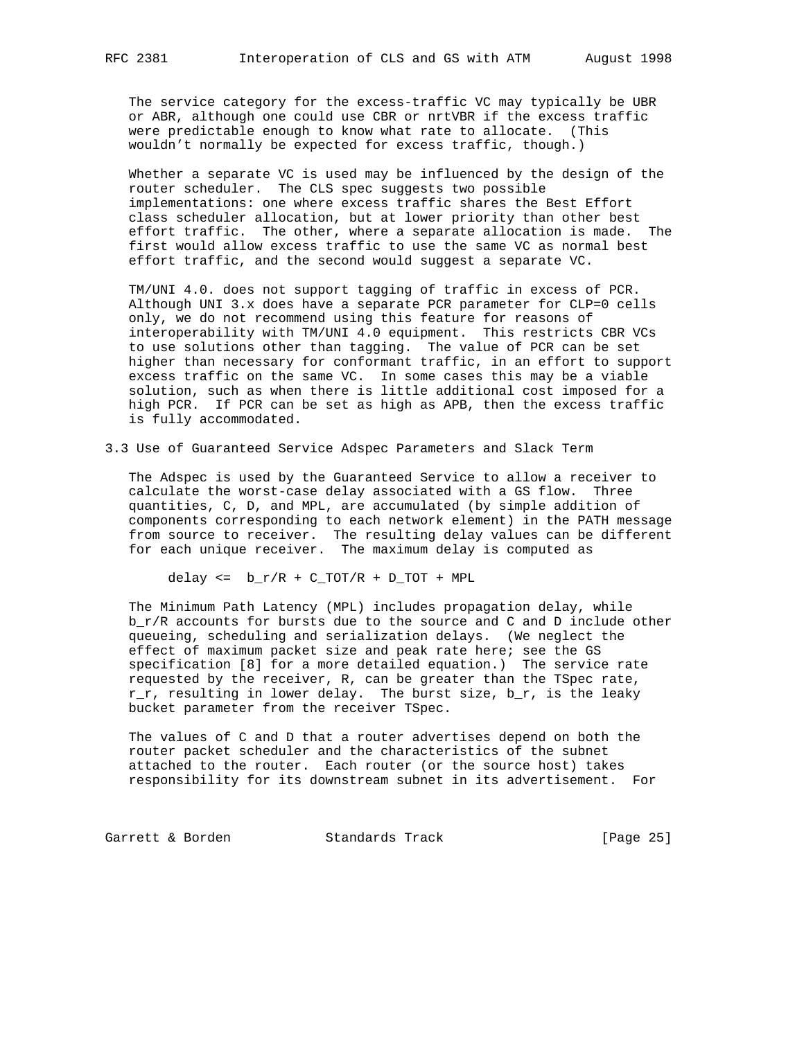The service category for the excess-traffic VC may typically be UBR or ABR, although one could use CBR or nrtVBR if the excess traffic were predictable enough to know what rate to allocate. (This wouldn't normally be expected for excess traffic, though.)

 Whether a separate VC is used may be influenced by the design of the router scheduler. The CLS spec suggests two possible implementations: one where excess traffic shares the Best Effort class scheduler allocation, but at lower priority than other best effort traffic. The other, where a separate allocation is made. The first would allow excess traffic to use the same VC as normal best effort traffic, and the second would suggest a separate VC.

 TM/UNI 4.0. does not support tagging of traffic in excess of PCR. Although UNI 3.x does have a separate PCR parameter for CLP=0 cells only, we do not recommend using this feature for reasons of interoperability with TM/UNI 4.0 equipment. This restricts CBR VCs to use solutions other than tagging. The value of PCR can be set higher than necessary for conformant traffic, in an effort to support excess traffic on the same VC. In some cases this may be a viable solution, such as when there is little additional cost imposed for a high PCR. If PCR can be set as high as APB, then the excess traffic is fully accommodated.

3.3 Use of Guaranteed Service Adspec Parameters and Slack Term

 The Adspec is used by the Guaranteed Service to allow a receiver to calculate the worst-case delay associated with a GS flow. Three quantities, C, D, and MPL, are accumulated (by simple addition of components corresponding to each network element) in the PATH message from source to receiver. The resulting delay values can be different for each unique receiver. The maximum delay is computed as

delay  $\leq$  b\_r/R + C\_TOT/R + D\_TOT + MPL

 The Minimum Path Latency (MPL) includes propagation delay, while b\_r/R accounts for bursts due to the source and C and D include other queueing, scheduling and serialization delays. (We neglect the effect of maximum packet size and peak rate here; see the GS specification [8] for a more detailed equation.) The service rate requested by the receiver, R, can be greater than the TSpec rate,  $r_r$ , resulting in lower delay. The burst size,  $b_r$ , is the leaky bucket parameter from the receiver TSpec.

 The values of C and D that a router advertises depend on both the router packet scheduler and the characteristics of the subnet attached to the router. Each router (or the source host) takes responsibility for its downstream subnet in its advertisement. For

Garrett & Borden Standards Track [Page 25]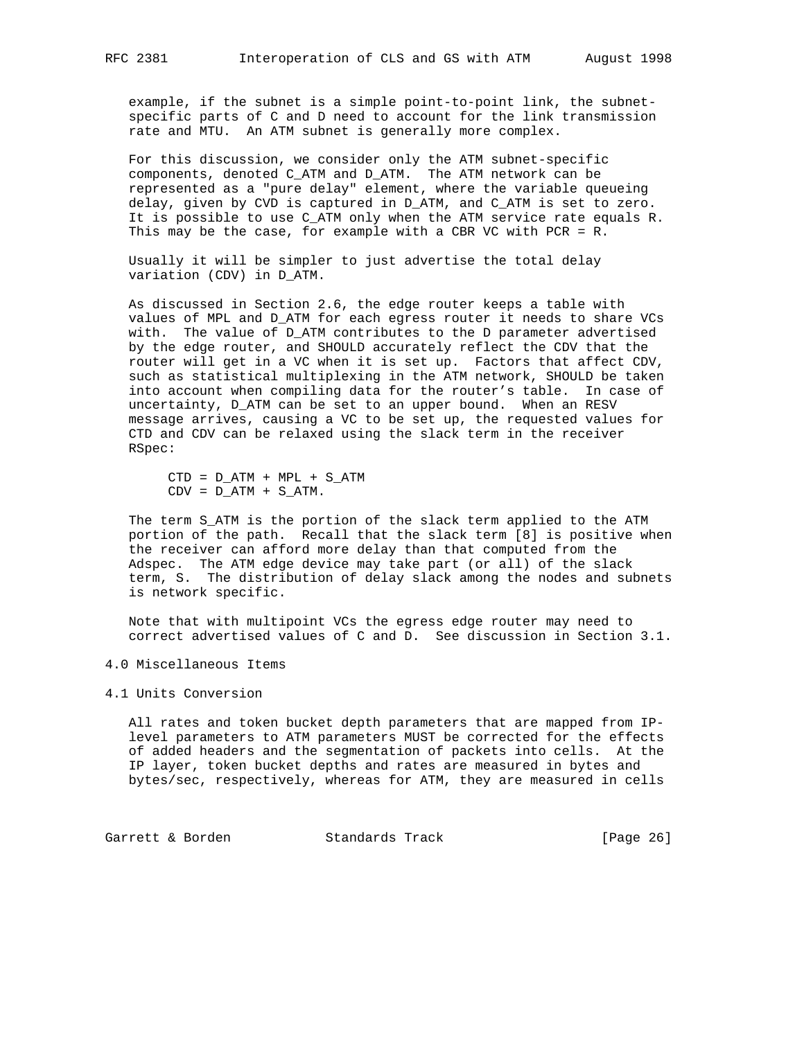example, if the subnet is a simple point-to-point link, the subnet specific parts of C and D need to account for the link transmission rate and MTU. An ATM subnet is generally more complex.

 For this discussion, we consider only the ATM subnet-specific components, denoted C\_ATM and D\_ATM. The ATM network can be represented as a "pure delay" element, where the variable queueing delay, given by CVD is captured in D\_ATM, and C\_ATM is set to zero. It is possible to use C\_ATM only when the ATM service rate equals R. This may be the case, for example with a CBR VC with PCR = R.

 Usually it will be simpler to just advertise the total delay variation (CDV) in D\_ATM.

 As discussed in Section 2.6, the edge router keeps a table with values of MPL and D\_ATM for each egress router it needs to share VCs with. The value of D\_ATM contributes to the D parameter advertised by the edge router, and SHOULD accurately reflect the CDV that the router will get in a VC when it is set up. Factors that affect CDV, such as statistical multiplexing in the ATM network, SHOULD be taken into account when compiling data for the router's table. In case of uncertainty, D\_ATM can be set to an upper bound. When an RESV message arrives, causing a VC to be set up, the requested values for CTD and CDV can be relaxed using the slack term in the receiver RSpec:

 $CTD = D_ATM + MPL + S_ATM$  $CDV = DATM + SATM$ .

 The term S\_ATM is the portion of the slack term applied to the ATM portion of the path. Recall that the slack term [8] is positive when the receiver can afford more delay than that computed from the Adspec. The ATM edge device may take part (or all) of the slack term, S. The distribution of delay slack among the nodes and subnets is network specific.

 Note that with multipoint VCs the egress edge router may need to correct advertised values of C and D. See discussion in Section 3.1.

4.0 Miscellaneous Items

## 4.1 Units Conversion

 All rates and token bucket depth parameters that are mapped from IP level parameters to ATM parameters MUST be corrected for the effects of added headers and the segmentation of packets into cells. At the IP layer, token bucket depths and rates are measured in bytes and bytes/sec, respectively, whereas for ATM, they are measured in cells

Garrett & Borden Standards Track [Page 26]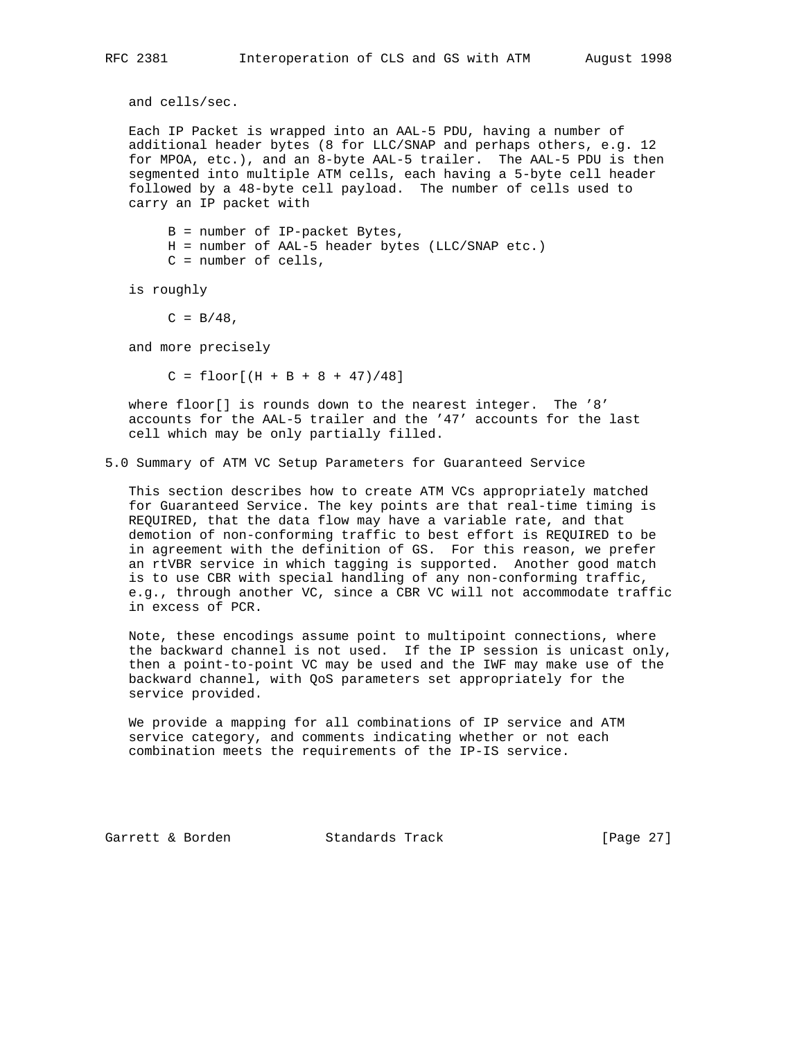and cells/sec.

 Each IP Packet is wrapped into an AAL-5 PDU, having a number of additional header bytes (8 for LLC/SNAP and perhaps others, e.g. 12 for MPOA, etc.), and an 8-byte AAL-5 trailer. The AAL-5 PDU is then segmented into multiple ATM cells, each having a 5-byte cell header followed by a 48-byte cell payload. The number of cells used to carry an IP packet with

 B = number of IP-packet Bytes, H = number of AAL-5 header bytes (LLC/SNAP etc.) C = number of cells,

is roughly

 $C = B/48$ ,

and more precisely

 $C = \text{floor}[(H + B + 8 + 47)/48]$ 

 where floor[] is rounds down to the nearest integer. The '8' accounts for the AAL-5 trailer and the '47' accounts for the last cell which may be only partially filled.

5.0 Summary of ATM VC Setup Parameters for Guaranteed Service

 This section describes how to create ATM VCs appropriately matched for Guaranteed Service. The key points are that real-time timing is REQUIRED, that the data flow may have a variable rate, and that demotion of non-conforming traffic to best effort is REQUIRED to be in agreement with the definition of GS. For this reason, we prefer an rtVBR service in which tagging is supported. Another good match is to use CBR with special handling of any non-conforming traffic, e.g., through another VC, since a CBR VC will not accommodate traffic in excess of PCR.

 Note, these encodings assume point to multipoint connections, where the backward channel is not used. If the IP session is unicast only, then a point-to-point VC may be used and the IWF may make use of the backward channel, with QoS parameters set appropriately for the service provided.

 We provide a mapping for all combinations of IP service and ATM service category, and comments indicating whether or not each combination meets the requirements of the IP-IS service.

Garrett & Borden Standards Track [Page 27]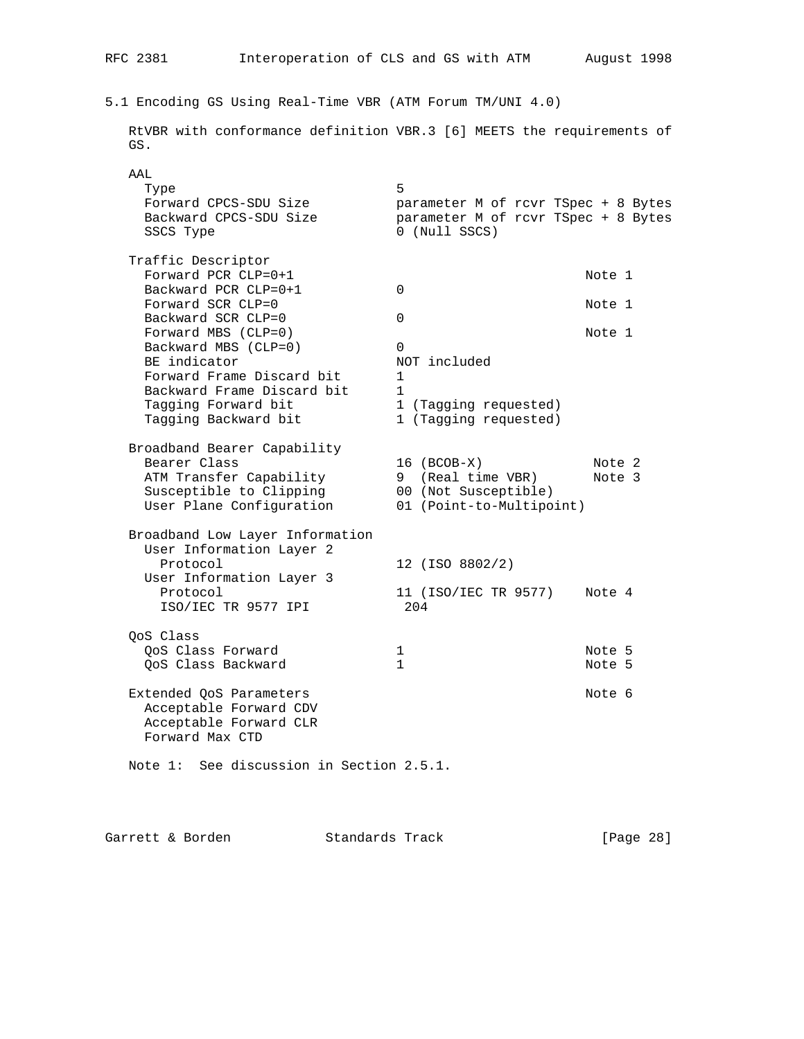# 5.1 Encoding GS Using Real-Time VBR (ATM Forum TM/UNI 4.0)

 RtVBR with conformance definition VBR.3 [6] MEETS the requirements of GS. AAL<br>Type

| Type<br>Forward CPCS-SDU Size                                                                  | 5<br>parameter M of rcvr TSpec + 8 Bytes             |                  |
|------------------------------------------------------------------------------------------------|------------------------------------------------------|------------------|
| Backward CPCS-SDU Size<br>SSCS Type                                                            | parameter M of rcvr TSpec + 8 Bytes<br>0 (Null SSCS) |                  |
| Traffic Descriptor<br>Forward PCR CLP=0+1                                                      |                                                      | Note 1           |
| Backward PCR CLP=0+1                                                                           | $\Omega$                                             |                  |
| Forward SCR CLP=0<br>Backward SCR CLP=0                                                        | $\Omega$                                             | Note 1           |
| Forward MBS (CLP=0)<br>Backward MBS (CLP=0)                                                    | $\Omega$                                             | Note 1           |
| BE indicator<br>Forward Frame Discard bit                                                      | NOT included<br>1                                    |                  |
| Backward Frame Discard bit                                                                     | $\mathbf{1}$                                         |                  |
| Tagging Forward bit<br>Tagging Backward bit                                                    | 1 (Tagging requested)<br>1 (Tagging requested)       |                  |
| Broadband Bearer Capability<br>Bearer Class<br>ATM Transfer Capability                         | $16 (BCOB-X)$<br>(Real time VBR)<br>9                | Note 2<br>Note 3 |
| Susceptible to Clipping<br>User Plane Configuration                                            | 00 (Not Susceptible)<br>01 (Point-to-Multipoint)     |                  |
| Broadband Low Layer Information<br>User Information Layer 2<br>Protocol                        | 12 (ISO 8802/2)                                      |                  |
| User Information Layer 3<br>Protocol<br>ISO/IEC TR 9577 IPI                                    | 11 (ISO/IEC TR 9577)<br>204                          | Note 4           |
| QoS Class                                                                                      |                                                      |                  |
| QoS Class Forward<br>QoS Class Backward                                                        | 1<br>$\mathbf{1}$                                    | Note 5<br>Note 5 |
| Extended QoS Parameters<br>Acceptable Forward CDV<br>Acceptable Forward CLR<br>Forward Max CTD |                                                      | Note 6           |
| Note 1: See discussion in Section 2.5.1.                                                       |                                                      |                  |
|                                                                                                |                                                      |                  |
|                                                                                                |                                                      |                  |

Garrett & Borden Standards Track [Page 28]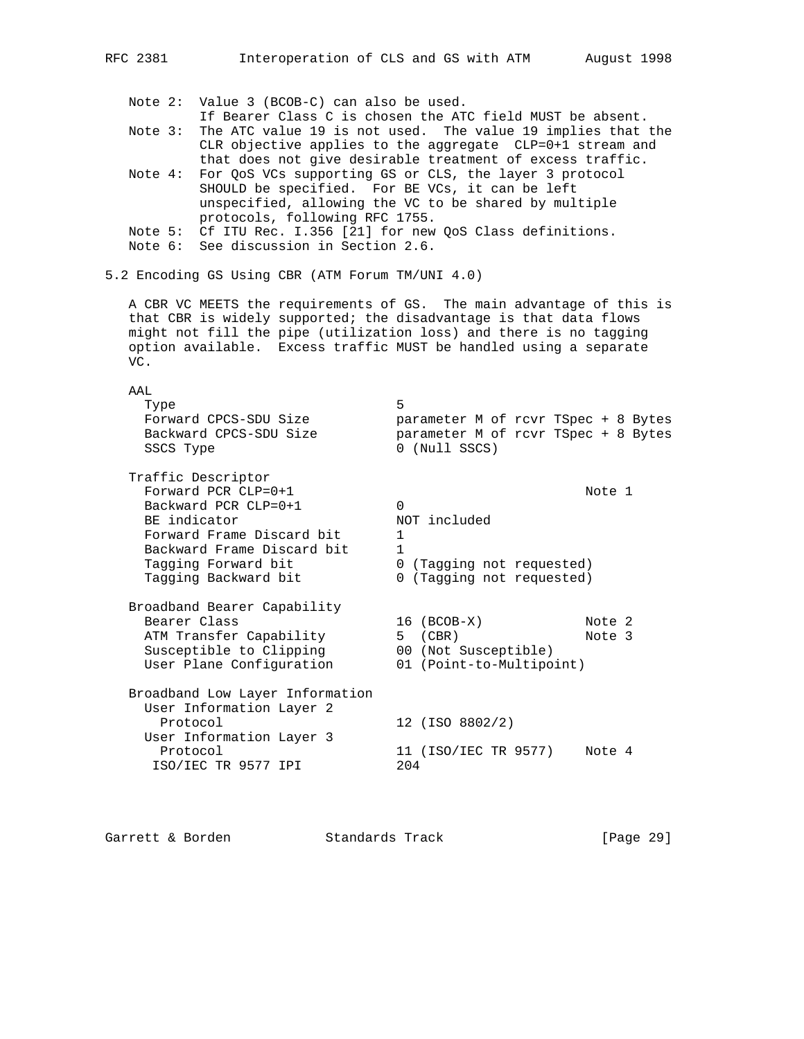Note 2: Value 3 (BCOB-C) can also be used. If Bearer Class C is chosen the ATC field MUST be absent. Note 3: The ATC value 19 is not used. The value 19 implies that the CLR objective applies to the aggregate CLP=0+1 stream and

RFC 2381 Interoperation of CLS and GS with ATM August 1998

- that does not give desirable treatment of excess traffic. Note 4: For QoS VCs supporting GS or CLS, the layer 3 protocol SHOULD be specified. For BE VCs, it can be left unspecified, allowing the VC to be shared by multiple protocols, following RFC 1755.
- Note 5: Cf ITU Rec. I.356 [21] for new QoS Class definitions.
- Note 6: See discussion in Section 2.6.

User Information Layer 3

5.2 Encoding GS Using CBR (ATM Forum TM/UNI 4.0)

 A CBR VC MEETS the requirements of GS. The main advantage of this is that CBR is widely supported; the disadvantage is that data flows might not fill the pipe (utilization loss) and there is no tagging option available. Excess traffic MUST be handled using a separate VC.

| AAT.                                                                 |                                                                                                  |
|----------------------------------------------------------------------|--------------------------------------------------------------------------------------------------|
| Type<br>Forward CPCS-SDU Size<br>Backward CPCS-SDU Size<br>SSCS Type | 5<br>parameter M of rcvr TSpec + 8 Bytes<br>parameter M of rcvr TSpec + 8 Bytes<br>0 (Null SSCS) |
| Traffic Descriptor<br>Forward PCR $CLP=0+1$                          | Note 1                                                                                           |
| Backward PCR $CLP=0+1$                                               | $\Omega$                                                                                         |
| BE indicator                                                         | NOT included                                                                                     |
| Forward Frame Discard bit                                            | 1                                                                                                |
| Backward Frame Discard bit                                           | 1                                                                                                |
| Tagging Forward bit                                                  | 0 (Tagging not requested)                                                                        |
| Tagging Backward bit                                                 | 0 (Tagging not requested)                                                                        |
| Broadband Bearer Capability                                          |                                                                                                  |
| Bearer Class                                                         | $16$ (BCOB-X)<br>Note 2                                                                          |
| ATM Transfer Capability                                              | (CBR)<br>Note 3<br>5                                                                             |
| Susceptible to Clipping                                              | 00 (Not Susceptible)                                                                             |
| User Plane Configuration                                             | 01 (Point-to-Multipoint)                                                                         |
| Broadband Low Layer Information<br>User Information Layer 2          |                                                                                                  |
| Protocol                                                             | 12 (ISO 8802/2)                                                                                  |

Protocol 11 (ISO/IEC TR 9577) Note 4 ISO/IEC TR 9577 IPI 204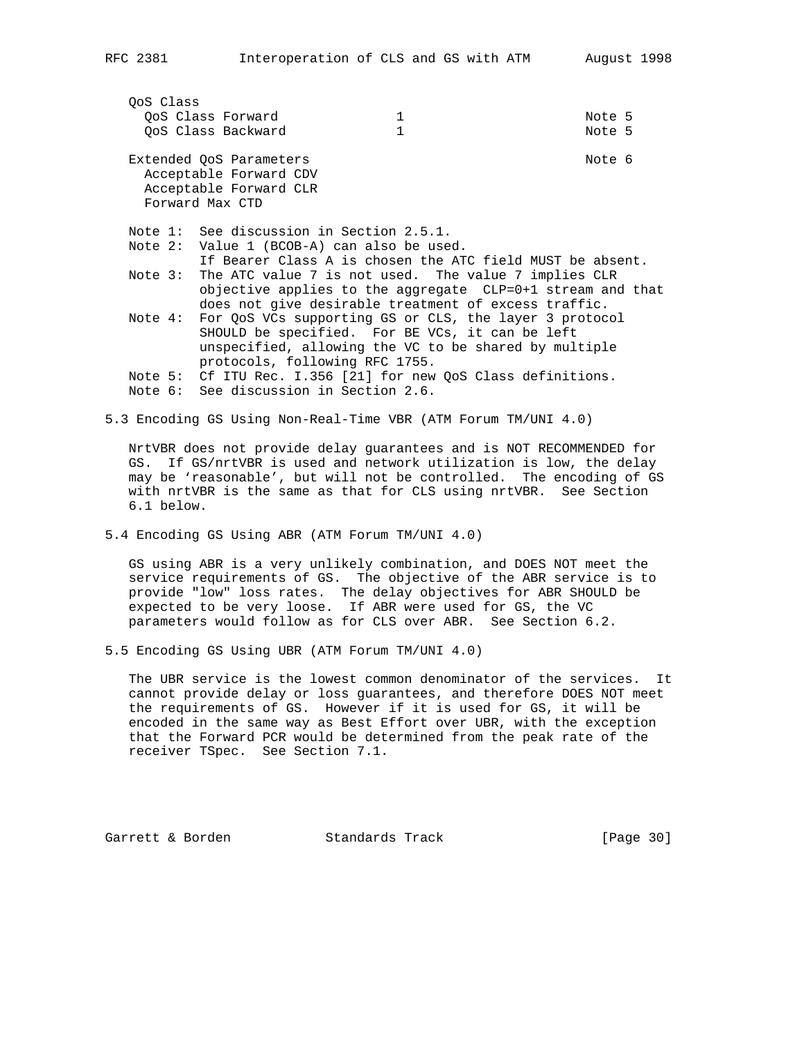| OoS Class | OoS Class Forward<br>OoS Class Backward                                                                                    | 1<br>1 | Note 5<br>Note 5 |  |
|-----------|----------------------------------------------------------------------------------------------------------------------------|--------|------------------|--|
|           | Extended QoS Parameters<br>Acceptable Forward CDV<br>Acceptable Forward CLR<br>Forward Max CTD                             |        | Note 6           |  |
|           | Note 1: See discussion in Section 2.5.1.                                                                                   |        |                  |  |
|           | Note 2: Value 1 (BCOB-A) can also be used.                                                                                 |        |                  |  |
|           | If Bearer Class A is chosen the ATC field MUST be absent.                                                                  |        |                  |  |
|           | Note 3: The ATC value 7 is not used. The value 7 implies CLR<br>objective applies to the aggregate CLP=0+1 stream and that |        |                  |  |
|           | does not give desirable treatment of excess traffic.                                                                       |        |                  |  |
| Note 4:   | For QoS VCs supporting GS or CLS, the layer 3 protocol                                                                     |        |                  |  |
|           | SHOULD be specified. For BE VCs, it can be left                                                                            |        |                  |  |
|           | unspecified, allowing the VC to be shared by multiple                                                                      |        |                  |  |
|           | protocols, following RFC 1755.                                                                                             |        |                  |  |
|           | Note 5: Cf ITU Rec. I.356 [21] for new QoS Class definitions.                                                              |        |                  |  |
|           | Note 6: See discussion in Section 2.6.                                                                                     |        |                  |  |

5.3 Encoding GS Using Non-Real-Time VBR (ATM Forum TM/UNI 4.0)

 NrtVBR does not provide delay guarantees and is NOT RECOMMENDED for GS. If GS/nrtVBR is used and network utilization is low, the delay may be 'reasonable', but will not be controlled. The encoding of GS with nrtVBR is the same as that for CLS using nrtVBR. See Section 6.1 below.

5.4 Encoding GS Using ABR (ATM Forum TM/UNI 4.0)

 GS using ABR is a very unlikely combination, and DOES NOT meet the service requirements of GS. The objective of the ABR service is to provide "low" loss rates. The delay objectives for ABR SHOULD be expected to be very loose. If ABR were used for GS, the VC parameters would follow as for CLS over ABR. See Section 6.2.

5.5 Encoding GS Using UBR (ATM Forum TM/UNI 4.0)

 The UBR service is the lowest common denominator of the services. It cannot provide delay or loss guarantees, and therefore DOES NOT meet the requirements of GS. However if it is used for GS, it will be encoded in the same way as Best Effort over UBR, with the exception that the Forward PCR would be determined from the peak rate of the receiver TSpec. See Section 7.1.

Garrett & Borden Standards Track [Page 30]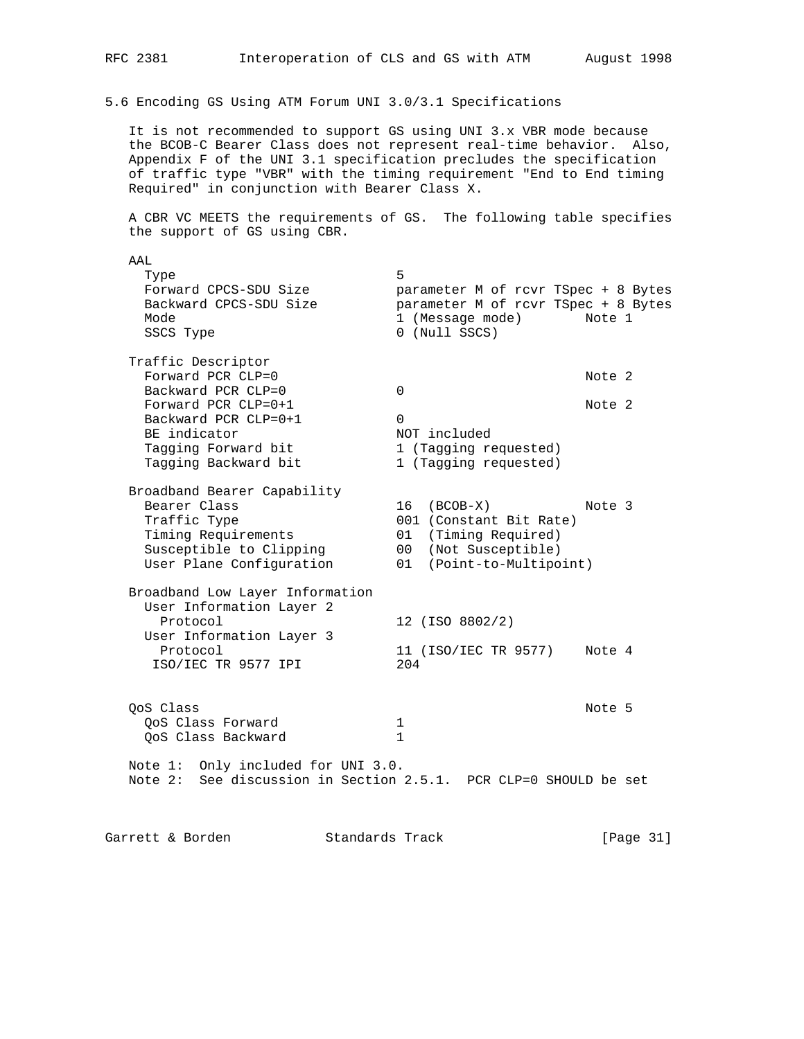5.6 Encoding GS Using ATM Forum UNI 3.0/3.1 Specifications

 It is not recommended to support GS using UNI 3.x VBR mode because the BCOB-C Bearer Class does not represent real-time behavior. Also, Appendix F of the UNI 3.1 specification precludes the specification of traffic type "VBR" with the timing requirement "End to End timing Required" in conjunction with Bearer Class X.

 A CBR VC MEETS the requirements of GS. The following table specifies the support of GS using CBR.

 AAL Type 5 Forward CPCS-SDU Size parameter M of rcvr TSpec + 8 Bytes Backward CPCS-SDU Size parameter M of rcvr TSpec + 8 Bytes Mode 1 (Message mode) Note 1 SSCS Type 0 (Null SSCS) Traffic Descriptor Forward PCR CLP=0<br>Backward PCR CLP=0 0<br>0 Backward PCR CLP=0<br>Forward PCR CLP=0+1 Forward PCR CLP=0+1  $\blacksquare$ Backward PCR CLP=0+1 0 BE indicator and the NOT included Tagging Forward bit 1 (Tagging requested) Tagging Backward bit 1 (Tagging requested) Broadband Bearer Capability 16 (BCOB-X) Note 3<br>001 (Constant Bit Rate) Traffic Type  $001$  (Constant Bit Rate) Timing Requirements 01 (Timing Required) Susceptible to Clipping 00 (Not Susceptible) User Plane Configuration 01 (Point-to-Multipoint) Broadband Low Layer Information User Information Layer 2 Protocol 12 (ISO 8802/2) User Information Layer 3 Protocol 11 (ISO/IEC TR 9577) Note 4 ISO/IEC TR 9577 IPI 204 QoS Class Note 5 QoS Class Forward 1 QoS Class Backward 1 Note 1: Only included for UNI 3.0. Note 2: See discussion in Section 2.5.1. PCR CLP=0 SHOULD be set Garrett & Borden Standards Track [Page 31]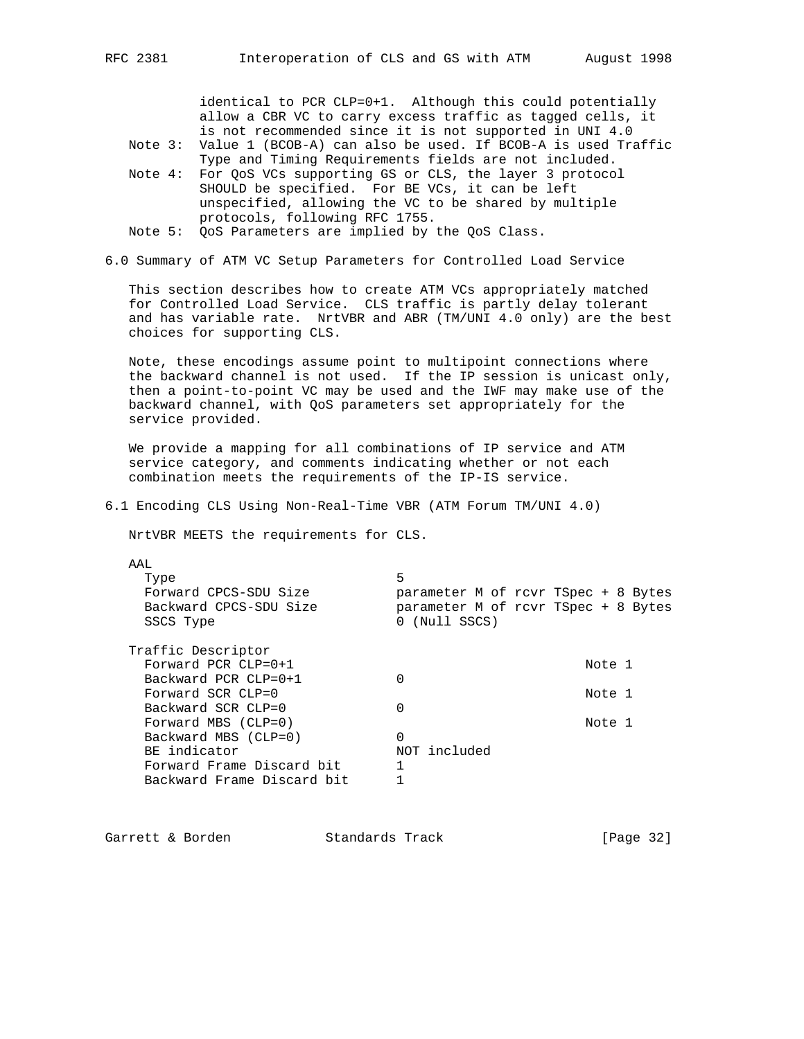identical to PCR CLP=0+1. Although this could potentially allow a CBR VC to carry excess traffic as tagged cells, it is not recommended since it is not supported in UNI 4.0

- Note 3: Value 1 (BCOB-A) can also be used. If BCOB-A is used Traffic Type and Timing Requirements fields are not included.
- Note 4: For QoS VCs supporting GS or CLS, the layer 3 protocol SHOULD be specified. For BE VCs, it can be left unspecified, allowing the VC to be shared by multiple protocols, following RFC 1755.
- Note 5: QoS Parameters are implied by the QoS Class.
- 6.0 Summary of ATM VC Setup Parameters for Controlled Load Service

 This section describes how to create ATM VCs appropriately matched for Controlled Load Service. CLS traffic is partly delay tolerant and has variable rate. NrtVBR and ABR (TM/UNI 4.0 only) are the best choices for supporting CLS.

 Note, these encodings assume point to multipoint connections where the backward channel is not used. If the IP session is unicast only, then a point-to-point VC may be used and the IWF may make use of the backward channel, with QoS parameters set appropriately for the service provided.

 We provide a mapping for all combinations of IP service and ATM service category, and comments indicating whether or not each combination meets the requirements of the IP-IS service.

6.1 Encoding CLS Using Non-Real-Time VBR (ATM Forum TM/UNI 4.0)

NrtVBR MEETS the requirements for CLS.

| A A L                      |                                     |
|----------------------------|-------------------------------------|
| Type                       | 5                                   |
| Forward CPCS-SDU Size      | parameter M of rcvr TSpec + 8 Bytes |
| Backward CPCS-SDU Size     | parameter M of rcvr TSpec + 8 Bytes |
| SSCS Type                  | 0 (Null SSCS)                       |
|                            |                                     |
| Traffic Descriptor         |                                     |
| Forward PCR $CLP=0+1$      | Note 1                              |
| Backward PCR $CLP=0+1$     | 0                                   |
| Forward SCR CLP=0          | Note 1                              |
| Backward SCR CLP=0         | 0                                   |
| Forward MBS $(CLP=0)$      | Note 1                              |
| Backward MBS (CLP=0)       | 0                                   |
| BE indicator               | NOT included                        |
| Forward Frame Discard bit  |                                     |
| Backward Frame Discard bit |                                     |
|                            |                                     |

| Standards Track<br>Garrett & Borden | [Page 32] |  |  |
|-------------------------------------|-----------|--|--|
|-------------------------------------|-----------|--|--|

 $\overline{A}$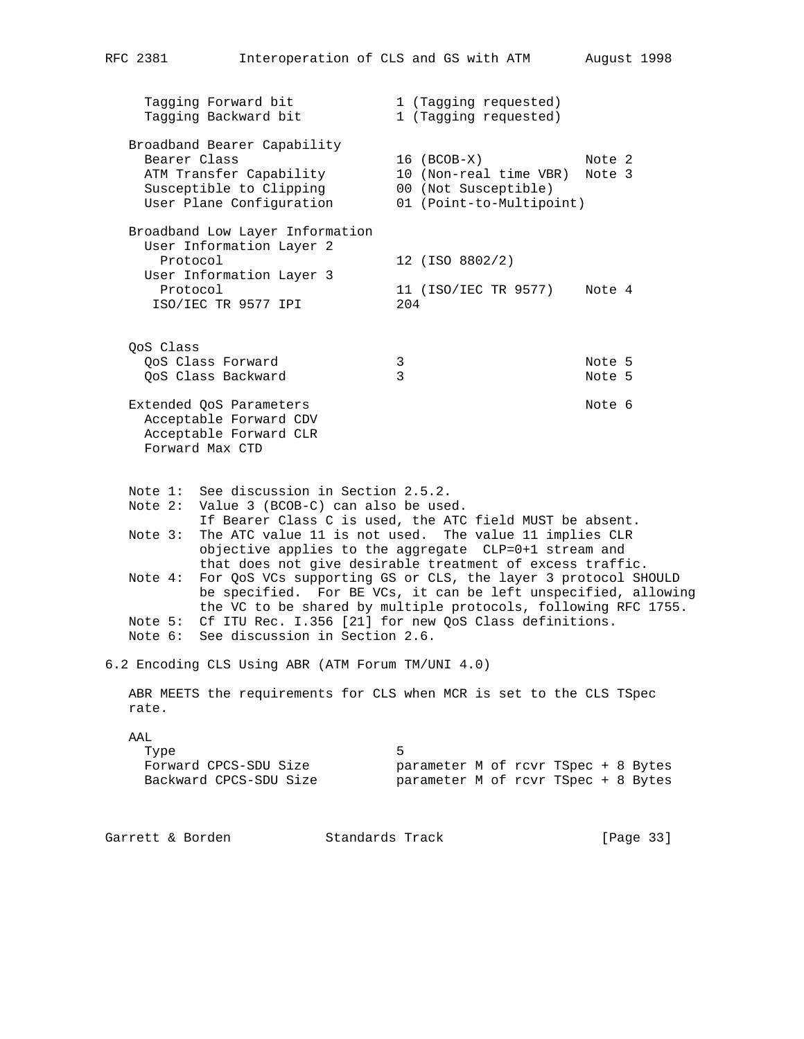| RFC 2381             | Interoperation of CLS and GS with ATM                                                                                                                                                                                                                                                                                              |                                                                                           | August 1998      |  |  |
|----------------------|------------------------------------------------------------------------------------------------------------------------------------------------------------------------------------------------------------------------------------------------------------------------------------------------------------------------------------|-------------------------------------------------------------------------------------------|------------------|--|--|
|                      | Tagging Forward bit<br>Tagging Backward bit                                                                                                                                                                                                                                                                                        | 1 (Tagging requested)<br>1 (Tagging requested)                                            |                  |  |  |
| Bearer Class         | Broadband Bearer Capability<br>ATM Transfer Capability<br>Susceptible to Clipping<br>User Plane Configuration                                                                                                                                                                                                                      | 16 (BCOB-X)<br>10 (Non-real time VBR)<br>00 (Not Susceptible)<br>01 (Point-to-Multipoint) | Note 2<br>Note 3 |  |  |
| Protocol<br>Protocol | Broadband Low Layer Information<br>User Information Layer 2<br>User Information Layer 3<br>ISO/IEC TR 9577 IPI                                                                                                                                                                                                                     | 12 (ISO 8802/2)<br>11 (ISO/IEC TR 9577)<br>204                                            | Note 4           |  |  |
| OoS Class            | QoS Class Forward<br>QoS Class Backward                                                                                                                                                                                                                                                                                            | 3<br>3                                                                                    | Note 5<br>Note 5 |  |  |
|                      | Extended QoS Parameters<br>Acceptable Forward CDV<br>Acceptable Forward CLR<br>Forward Max CTD                                                                                                                                                                                                                                     |                                                                                           | Note 6           |  |  |
| Note $3:$            | Note 1: See discussion in Section 2.5.2.<br>Note 2: Value 3 (BCOB-C) can also be used.<br>If Bearer Class C is used, the ATC field MUST be absent.<br>The ATC value 11 is not used. The value 11 implies CLR<br>objective applies to the aggregate CLP=0+1 stream and<br>that does not give desirable treatment of excess traffic. |                                                                                           |                  |  |  |
| Note 4:              | For QoS VCs supporting GS or CLS, the layer 3 protocol SHOULD<br>be specified. For BE VCs, it can be left unspecified, allowing<br>the VC to be shared by multiple protocols, following RFC 1755.<br>Note 5: Cf ITU Rec. I.356 [21] for new QoS Class definitions.                                                                 |                                                                                           |                  |  |  |
|                      | Note 6: See discussion in Section 2.6.<br>6.2 Encoding CLS Using ABR (ATM Forum TM/UNI 4.0)                                                                                                                                                                                                                                        |                                                                                           |                  |  |  |
| rate.                | ABR MEETS the requirements for CLS when MCR is set to the CLS TSpec                                                                                                                                                                                                                                                                |                                                                                           |                  |  |  |

AAL

| Type                   |                                     |  |  |  |  |
|------------------------|-------------------------------------|--|--|--|--|
| Forward CPCS-SDU Size  | parameter M of rcvr TSpec + 8 Bytes |  |  |  |  |
| Backward CPCS-SDU Size | parameter M of rcvr TSpec + 8 Bytes |  |  |  |  |

| Garrett & Borden | Standards Track | [Page 33] |
|------------------|-----------------|-----------|
|------------------|-----------------|-----------|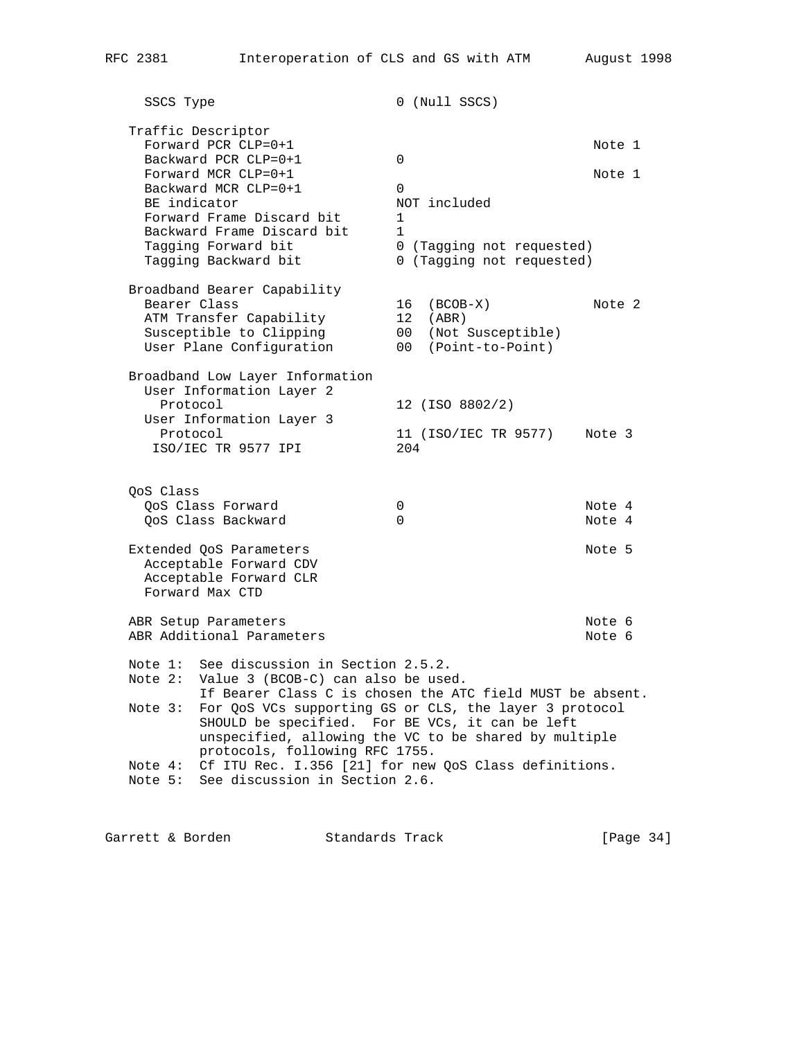SSCS Type 0 (Null SSCS) Traffic Descriptor Forward PCR CLP=0+1 Note 1 Backward PCR CLP=0+1 0 Forward MCR CLP=0+1  $\blacksquare$ Backward MCR CLP=0+1 0<br>BE indicator 0 0 0 NOT included BE indicator and the NOT included Forward Frame Discard bit 1 Backward Frame Discard bit 1 Tagging Forward bit 0 (Tagging not requested) Tagging Backward bit 0 (Tagging not requested) Broadband Bearer Capability Bearer Class 16 (BCOB-X) Note 2 ATM Transfer Capability 12 (ABR) Susceptible to Clipping 00 (Not Susceptible) User Plane Configuration 00 (Point-to-Point) Broadband Low Layer Information User Information Layer 2 Protocol 12 (ISO 8802/2) User Information Layer 3 Protocol 11 (ISO/IEC TR 9577) Note 3 ISO/IEC TR 9577 IPI 204 QoS Class QoS Class Forward  $\begin{array}{ccc} 0 & 0 & 0 \ 0 & 0 & 0 \end{array}$  Note 4 QoS Class Backward 0 Note 4 Extended QoS Parameters Note 5 Acceptable Forward CDV Acceptable Forward CLR Forward Max CTD ABR Setup Parameters Note 6 ABR Additional Parameters Note 6 Note 1: See discussion in Section 2.5.2. Note 2: Value 3 (BCOB-C) can also be used. If Bearer Class C is chosen the ATC field MUST be absent. Note 3: For QoS VCs supporting GS or CLS, the layer 3 protocol SHOULD be specified. For BE VCs, it can be left unspecified, allowing the VC to be shared by multiple protocols, following RFC 1755. Note 4: Cf ITU Rec. I.356 [21] for new QoS Class definitions. Note 5: See discussion in Section 2.6.

Garrett & Borden Standards Track [Page 34]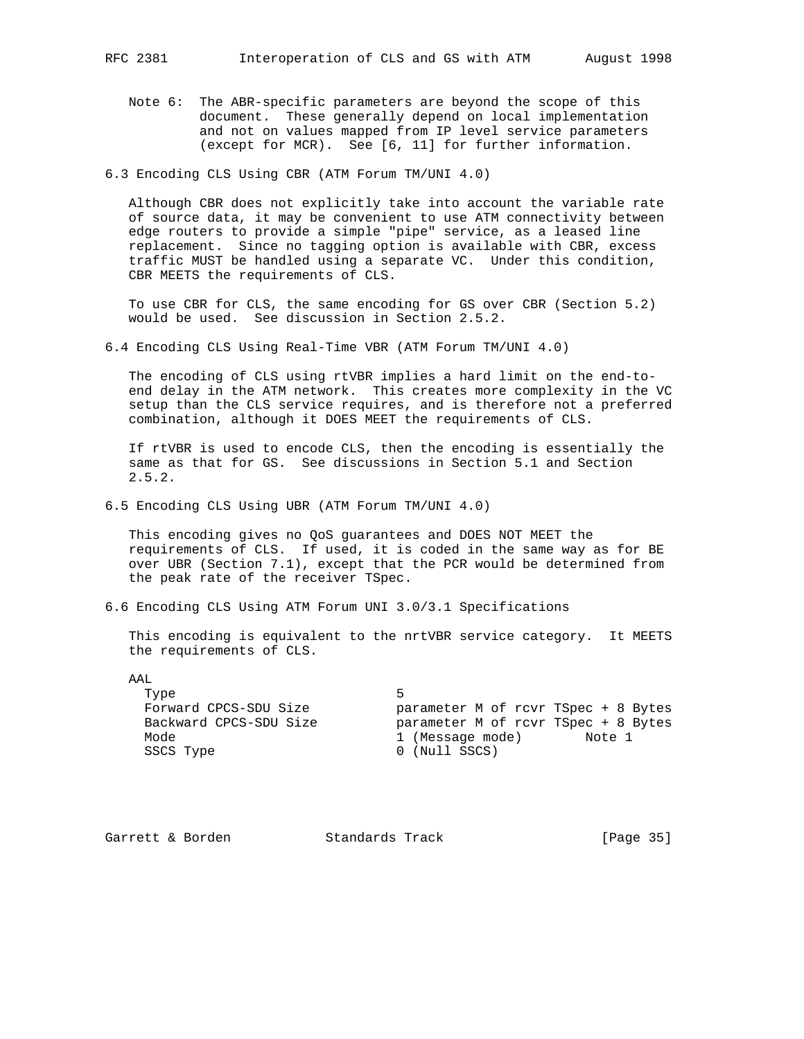Note 6: The ABR-specific parameters are beyond the scope of this document. These generally depend on local implementation and not on values mapped from IP level service parameters (except for MCR). See [6, 11] for further information.

6.3 Encoding CLS Using CBR (ATM Forum TM/UNI 4.0)

 Although CBR does not explicitly take into account the variable rate of source data, it may be convenient to use ATM connectivity between edge routers to provide a simple "pipe" service, as a leased line replacement. Since no tagging option is available with CBR, excess traffic MUST be handled using a separate VC. Under this condition, CBR MEETS the requirements of CLS.

 To use CBR for CLS, the same encoding for GS over CBR (Section 5.2) would be used. See discussion in Section 2.5.2.

6.4 Encoding CLS Using Real-Time VBR (ATM Forum TM/UNI 4.0)

 The encoding of CLS using rtVBR implies a hard limit on the end-to end delay in the ATM network. This creates more complexity in the VC setup than the CLS service requires, and is therefore not a preferred combination, although it DOES MEET the requirements of CLS.

 If rtVBR is used to encode CLS, then the encoding is essentially the same as that for GS. See discussions in Section 5.1 and Section 2.5.2.

6.5 Encoding CLS Using UBR (ATM Forum TM/UNI 4.0)

 This encoding gives no QoS guarantees and DOES NOT MEET the requirements of CLS. If used, it is coded in the same way as for BE over UBR (Section 7.1), except that the PCR would be determined from the peak rate of the receiver TSpec.

6.6 Encoding CLS Using ATM Forum UNI 3.0/3.1 Specifications

 This encoding is equivalent to the nrtVBR service category. It MEETS the requirements of CLS.

 AAL Type 5 SSCS Type 0 (Null SSCS)

 Forward CPCS-SDU Size parameter M of rcvr TSpec + 8 Bytes Backward CPCS-SDU Size parameter M of rcvr TSpec + 8 Bytes Mode 1 (Message mode) Note 1

Garrett & Borden Standards Track [Page 35]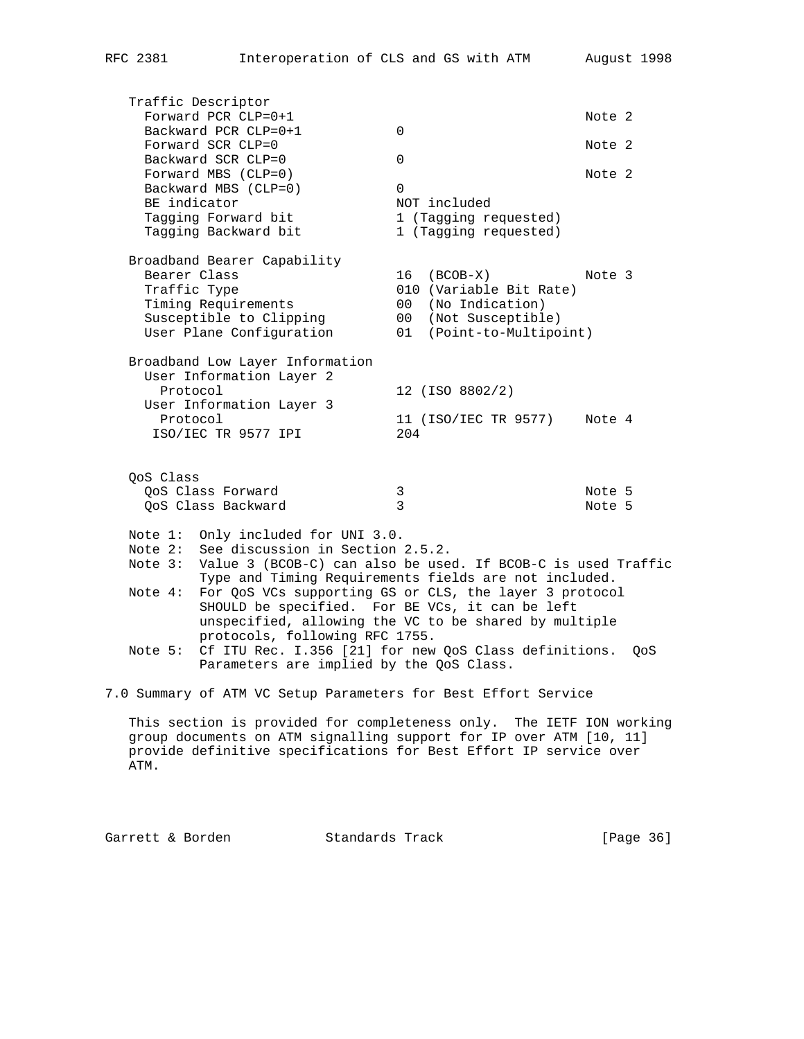Traffic Descriptor Forward PCR CLP=0+1  $\blacksquare$ Backward PCR  $CLP=0+1$  0 Forward SCR CLP=0  $\blacksquare$ Backward SCR CLP=0 0 Forward MBS (CLP=0) Note 2 Backward MBS (CLP=0) 0 BE indicator and the NOT included Tagging Forward bit 1 (Tagging requested) Tagging Backward bit 1 (Tagging requested) Broadband Bearer Capability Bearer Class 16 (BCOB-X) Note 3 Traffic Type  $010$  (Variable Bit Rate) Timing Requirements 00 (No Indication) Susceptible to Clipping 00 (Not Susceptible) User Plane Configuration 01 (Point-to-Multipoint) Broadband Low Layer Information User Information Layer 2 Protocol 12 (ISO 8802/2) User Information Layer 3 Protocol 11 (ISO/IEC TR 9577) Note 4 ISO/IEC TR 9577 IPI 204 QoS Class QoS Class Forward 3 Note 5 QoS Class Backward 3 Note 5 Note 1: Only included for UNI 3.0. Note 2: See discussion in Section 2.5.2. Note 3: Value 3 (BCOB-C) can also be used. If BCOB-C is used Traffic Type and Timing Requirements fields are not included. Note 4: For QoS VCs supporting GS or CLS, the layer 3 protocol SHOULD be specified. For BE VCs, it can be left unspecified, allowing the VC to be shared by multiple protocols, following RFC 1755. Note 5: Cf ITU Rec. I.356 [21] for new QoS Class definitions. QoS Parameters are implied by the QoS Class. 7.0 Summary of ATM VC Setup Parameters for Best Effort Service This section is provided for completeness only. The IETF ION working

 group documents on ATM signalling support for IP over ATM [10, 11] provide definitive specifications for Best Effort IP service over ATM.

Garrett & Borden Standards Track [Page 36]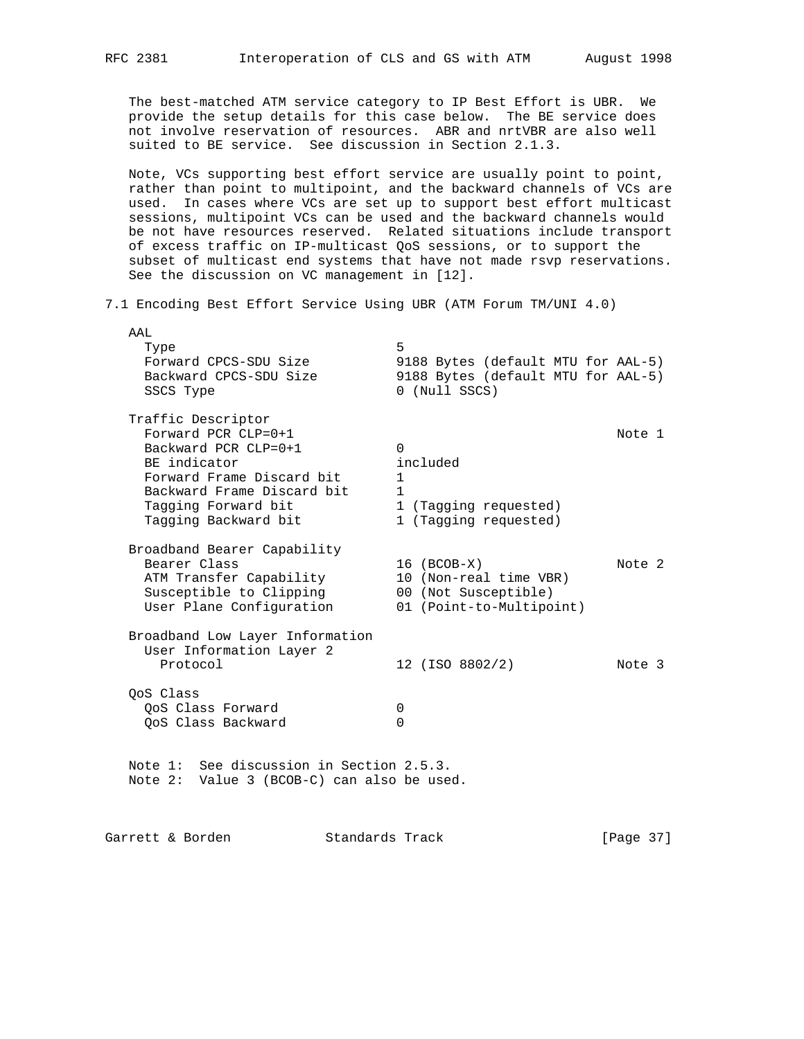The best-matched ATM service category to IP Best Effort is UBR. We provide the setup details for this case below. The BE service does not involve reservation of resources. ABR and nrtVBR are also well suited to BE service. See discussion in Section 2.1.3.

 Note, VCs supporting best effort service are usually point to point, rather than point to multipoint, and the backward channels of VCs are used. In cases where VCs are set up to support best effort multicast sessions, multipoint VCs can be used and the backward channels would be not have resources reserved. Related situations include transport of excess traffic on IP-multicast QoS sessions, or to support the subset of multicast end systems that have not made rsvp reservations. See the discussion on VC management in [12].

7.1 Encoding Best Effort Service Using UBR (ATM Forum TM/UNI 4.0)

| AAL<br>Type<br>Forward CPCS-SDU Size<br>Backward CPCS-SDU Size<br>SSCS Type                                                                                                                     | 5<br>9188 Bytes (default MTU for AAL-5)<br>9188 Bytes (default MTU for AAL-5)<br>0 (Null SSCS)  |        |
|-------------------------------------------------------------------------------------------------------------------------------------------------------------------------------------------------|-------------------------------------------------------------------------------------------------|--------|
| Traffic Descriptor<br>Forward PCR $CLP=0+1$<br>Backward PCR $CLP=0+1$<br>BE indicator<br>Forward Frame Discard bit<br>Backward Frame Discard bit<br>Tagging Forward bit<br>Tagging Backward bit | 0<br>included<br>$\mathbf{1}$<br>$\mathbf{1}$<br>1 (Tagging requested)<br>1 (Tagging requested) | Note 1 |
| Broadband Bearer Capability<br>Bearer Class<br>ATM Transfer Capability<br>Susceptible to Clipping<br>User Plane Configuration                                                                   | $16$ (BCOB-X)<br>10 (Non-real time VBR)<br>00 (Not Susceptible)<br>01 (Point-to-Multipoint)     | Note 2 |
| Broadband Low Layer Information<br>User Information Layer 2<br>Protocol                                                                                                                         | 12 (ISO 8802/2)                                                                                 | Note 3 |
| OoS Class<br>OoS Class Forward<br>OoS Class Backward                                                                                                                                            | 0<br>U                                                                                          |        |
| Note 1: See discussion in Section 2.5.3.<br>Note 2: Value 3 (BCOB-C) can also be used.                                                                                                          |                                                                                                 |        |

Garrett & Borden Standards Track [Page 37]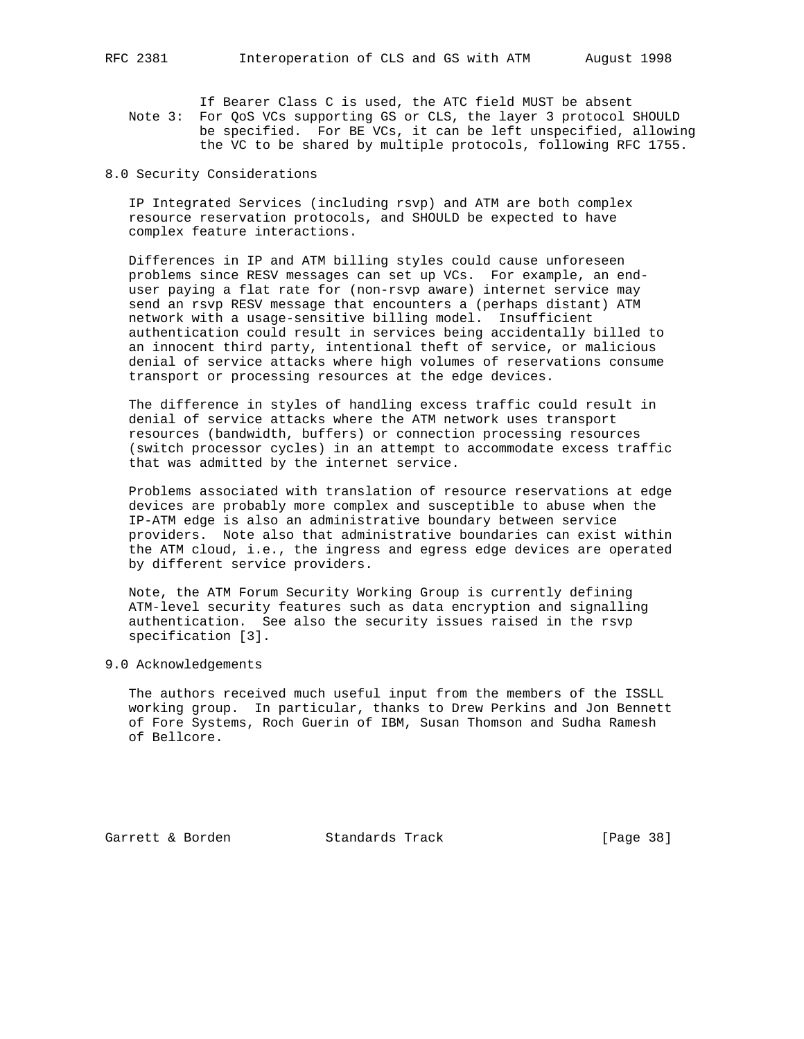If Bearer Class C is used, the ATC field MUST be absent Note 3: For QoS VCs supporting GS or CLS, the layer 3 protocol SHOULD be specified. For BE VCs, it can be left unspecified, allowing the VC to be shared by multiple protocols, following RFC 1755.

8.0 Security Considerations

 IP Integrated Services (including rsvp) and ATM are both complex resource reservation protocols, and SHOULD be expected to have complex feature interactions.

 Differences in IP and ATM billing styles could cause unforeseen problems since RESV messages can set up VCs. For example, an end user paying a flat rate for (non-rsvp aware) internet service may send an rsvp RESV message that encounters a (perhaps distant) ATM network with a usage-sensitive billing model. Insufficient authentication could result in services being accidentally billed to an innocent third party, intentional theft of service, or malicious denial of service attacks where high volumes of reservations consume transport or processing resources at the edge devices.

 The difference in styles of handling excess traffic could result in denial of service attacks where the ATM network uses transport resources (bandwidth, buffers) or connection processing resources (switch processor cycles) in an attempt to accommodate excess traffic that was admitted by the internet service.

 Problems associated with translation of resource reservations at edge devices are probably more complex and susceptible to abuse when the IP-ATM edge is also an administrative boundary between service providers. Note also that administrative boundaries can exist within the ATM cloud, i.e., the ingress and egress edge devices are operated by different service providers.

 Note, the ATM Forum Security Working Group is currently defining ATM-level security features such as data encryption and signalling authentication. See also the security issues raised in the rsvp specification [3].

9.0 Acknowledgements

 The authors received much useful input from the members of the ISSLL working group. In particular, thanks to Drew Perkins and Jon Bennett of Fore Systems, Roch Guerin of IBM, Susan Thomson and Sudha Ramesh of Bellcore.

Garrett & Borden Standards Track [Page 38]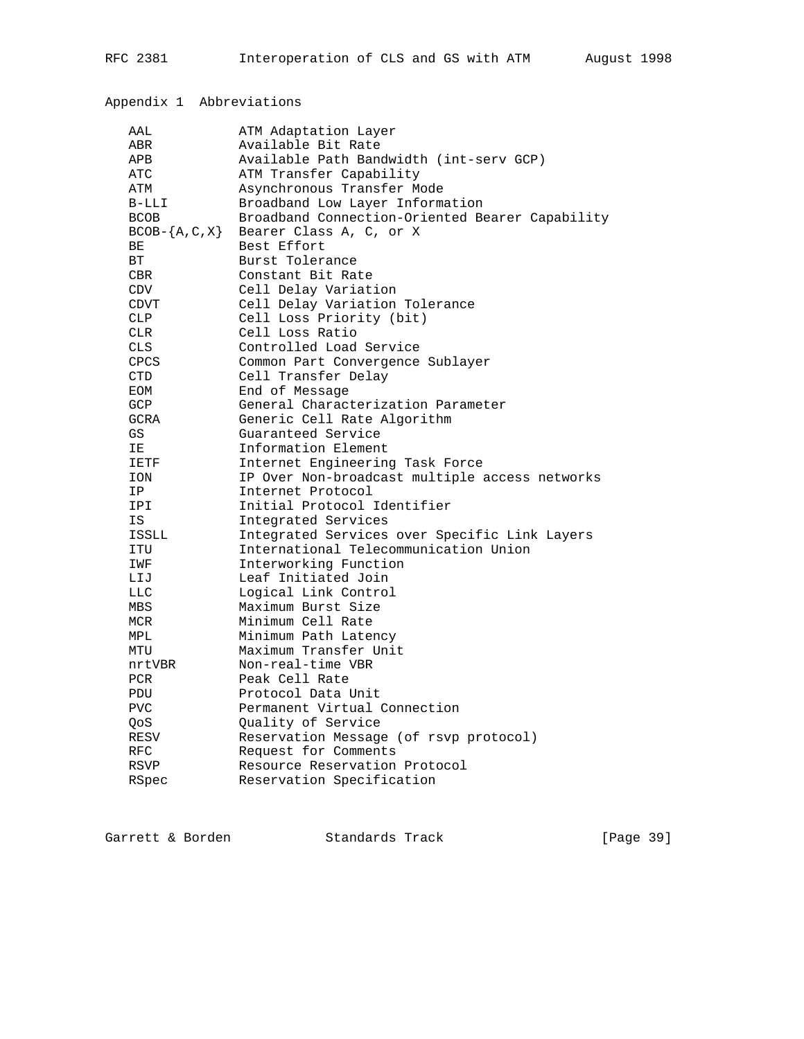# Appendix 1 Abbreviations

| AAL                  | ATM Adaptation Layer                            |
|----------------------|-------------------------------------------------|
| ABR                  | Available Bit Rate                              |
| APB                  | Available Path Bandwidth (int-serv GCP)         |
| <b>ATC</b>           | ATM Transfer Capability                         |
| ATM                  | Asynchronous Transfer Mode                      |
| $B-LLI$              | Broadband Low Layer Information                 |
| <b>BCOB</b>          | Broadband Connection-Oriented Bearer Capability |
| $BCOB - \{A, C, X\}$ | Bearer Class A, C, or X                         |
| ВE                   | Best Effort                                     |
| <b>BT</b>            | Burst Tolerance                                 |
| CBR.                 | Constant Bit Rate                               |
| CDV                  | Cell Delay Variation                            |
| <b>CDVT</b>          | Cell Delay Variation Tolerance                  |
| <b>CLP</b>           | Cell Loss Priority (bit)                        |
| <b>CLR</b>           | Cell Loss Ratio                                 |
| <b>CLS</b>           | Controlled Load Service                         |
| <b>CPCS</b>          | Common Part Convergence Sublayer                |
| <b>CTD</b>           | Cell Transfer Delay                             |
| EOM                  | End of Message                                  |
| <b>GCP</b>           | General Characterization Parameter              |
| GCRA                 | Generic Cell Rate Algorithm                     |
| GS                   | Guaranteed Service                              |
| ΙE                   | Information Element                             |
| IETF                 | Internet Engineering Task Force                 |
| <b>ION</b>           | IP Over Non-broadcast multiple access networks  |
| IP                   | Internet Protocol                               |
| <b>IPI</b>           | Initial Protocol Identifier                     |
| IS                   | Integrated Services                             |
| ISSLL                | Integrated Services over Specific Link Layers   |
| ITU                  | International Telecommunication Union           |
| IWF                  | Interworking Function                           |
| LIJ                  | Leaf Initiated Join                             |
| <b>LLC</b>           | Logical Link Control                            |
| <b>MBS</b>           | Maximum Burst Size                              |
| MCR                  | Minimum Cell Rate                               |
| MPL                  | Minimum Path Latency                            |
| MTU                  | Maximum Transfer Unit                           |
| nrtVBR               | Non-real-time VBR                               |
| <b>PCR</b>           | Peak Cell Rate                                  |
| PDU                  | Protocol Data Unit                              |
| <b>PVC</b>           | Permanent Virtual Connection                    |
| OoS                  | Quality of Service                              |
| RESV                 | Reservation Message (of rsvp protocol)          |
| <b>RFC</b>           | Request for Comments                            |
| RSVP                 | Resource Reservation Protocol                   |
| RSpec                | Reservation Specification                       |

Garrett & Borden Standards Track [Page 39]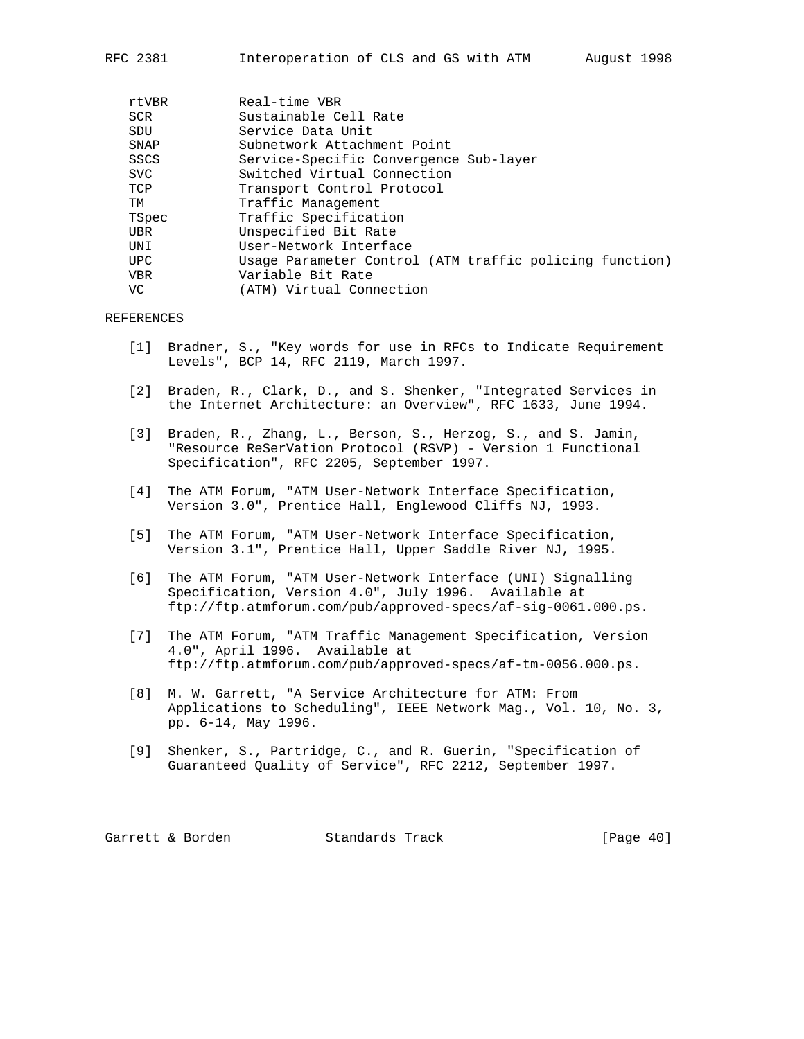| rtVBR      | Real-time VBR                                           |
|------------|---------------------------------------------------------|
| SCR        | Sustainable Cell Rate                                   |
| SDU        | Service Data Unit                                       |
| SNAP       | Subnetwork Attachment Point                             |
| SSCS       | Service-Specific Convergence Sub-layer                  |
| SVC.       | Switched Virtual Connection                             |
| TCP        | Transport Control Protocol                              |
| TM         | Traffic Management                                      |
| TSpec      | Traffic Specification                                   |
| UBR        | Unspecified Bit Rate                                    |
| UNI        | User-Network Interface                                  |
| UPC.       | Usage Parameter Control (ATM traffic policing function) |
| <b>VBR</b> | Variable Bit Rate                                       |
| VC         | (ATM) Virtual Connection                                |

REFERENCES

- [1] Bradner, S., "Key words for use in RFCs to Indicate Requirement Levels", BCP 14, RFC 2119, March 1997.
- [2] Braden, R., Clark, D., and S. Shenker, "Integrated Services in the Internet Architecture: an Overview", RFC 1633, June 1994.
- [3] Braden, R., Zhang, L., Berson, S., Herzog, S., and S. Jamin, "Resource ReSerVation Protocol (RSVP) - Version 1 Functional Specification", RFC 2205, September 1997.
- [4] The ATM Forum, "ATM User-Network Interface Specification, Version 3.0", Prentice Hall, Englewood Cliffs NJ, 1993.
- [5] The ATM Forum, "ATM User-Network Interface Specification, Version 3.1", Prentice Hall, Upper Saddle River NJ, 1995.
- [6] The ATM Forum, "ATM User-Network Interface (UNI) Signalling Specification, Version 4.0", July 1996. Available at ftp://ftp.atmforum.com/pub/approved-specs/af-sig-0061.000.ps.
- [7] The ATM Forum, "ATM Traffic Management Specification, Version 4.0", April 1996. Available at ftp://ftp.atmforum.com/pub/approved-specs/af-tm-0056.000.ps.
- [8] M. W. Garrett, "A Service Architecture for ATM: From Applications to Scheduling", IEEE Network Mag., Vol. 10, No. 3, pp. 6-14, May 1996.
- [9] Shenker, S., Partridge, C., and R. Guerin, "Specification of Guaranteed Quality of Service", RFC 2212, September 1997.

| [Page 40]<br>Standards Track<br>Garrett & Borden |
|--------------------------------------------------|
|--------------------------------------------------|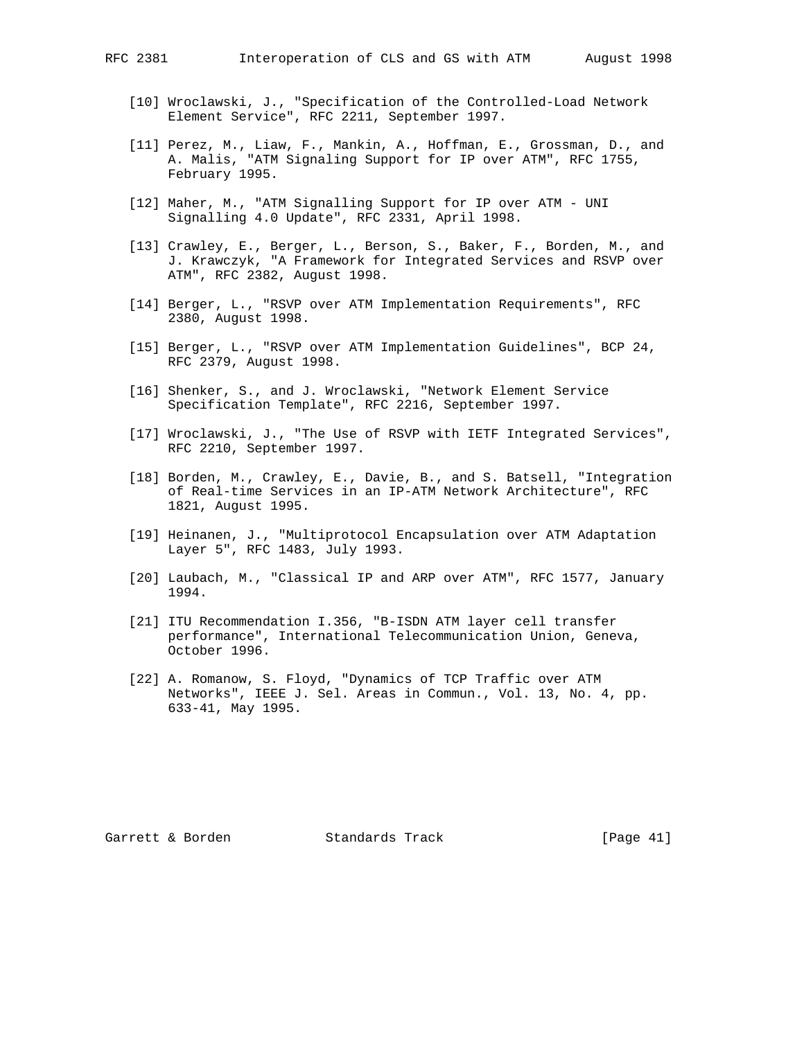- [10] Wroclawski, J., "Specification of the Controlled-Load Network Element Service", RFC 2211, September 1997.
- [11] Perez, M., Liaw, F., Mankin, A., Hoffman, E., Grossman, D., and A. Malis, "ATM Signaling Support for IP over ATM", RFC 1755, February 1995.
- [12] Maher, M., "ATM Signalling Support for IP over ATM UNI Signalling 4.0 Update", RFC 2331, April 1998.
- [13] Crawley, E., Berger, L., Berson, S., Baker, F., Borden, M., and J. Krawczyk, "A Framework for Integrated Services and RSVP over ATM", RFC 2382, August 1998.
- [14] Berger, L., "RSVP over ATM Implementation Requirements", RFC 2380, August 1998.
- [15] Berger, L., "RSVP over ATM Implementation Guidelines", BCP 24, RFC 2379, August 1998.
- [16] Shenker, S., and J. Wroclawski, "Network Element Service Specification Template", RFC 2216, September 1997.
- [17] Wroclawski, J., "The Use of RSVP with IETF Integrated Services", RFC 2210, September 1997.
- [18] Borden, M., Crawley, E., Davie, B., and S. Batsell, "Integration of Real-time Services in an IP-ATM Network Architecture", RFC 1821, August 1995.
- [19] Heinanen, J., "Multiprotocol Encapsulation over ATM Adaptation Layer 5", RFC 1483, July 1993.
- [20] Laubach, M., "Classical IP and ARP over ATM", RFC 1577, January 1994.
- [21] ITU Recommendation I.356, "B-ISDN ATM layer cell transfer performance", International Telecommunication Union, Geneva, October 1996.
- [22] A. Romanow, S. Floyd, "Dynamics of TCP Traffic over ATM Networks", IEEE J. Sel. Areas in Commun., Vol. 13, No. 4, pp. 633-41, May 1995.

Garrett & Borden Standards Track [Page 41]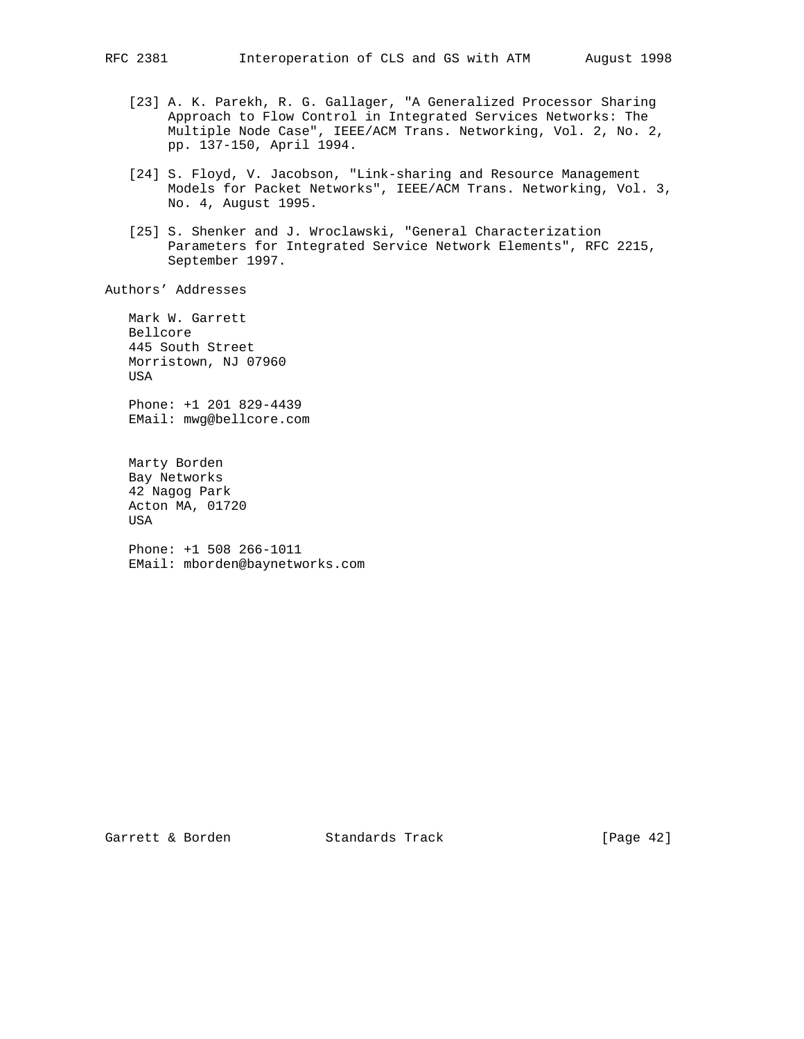- [23] A. K. Parekh, R. G. Gallager, "A Generalized Processor Sharing Approach to Flow Control in Integrated Services Networks: The Multiple Node Case", IEEE/ACM Trans. Networking, Vol. 2, No. 2, pp. 137-150, April 1994.
- [24] S. Floyd, V. Jacobson, "Link-sharing and Resource Management Models for Packet Networks", IEEE/ACM Trans. Networking, Vol. 3, No. 4, August 1995.
- [25] S. Shenker and J. Wroclawski, "General Characterization Parameters for Integrated Service Network Elements", RFC 2215, September 1997.

Authors' Addresses

 Mark W. Garrett Bellcore 445 South Street Morristown, NJ 07960 USA

 Phone: +1 201 829-4439 EMail: mwg@bellcore.com

 Marty Borden Bay Networks 42 Nagog Park Acton MA, 01720 USA

 Phone: +1 508 266-1011 EMail: mborden@baynetworks.com

Garrett & Borden Standards Track [Page 42]